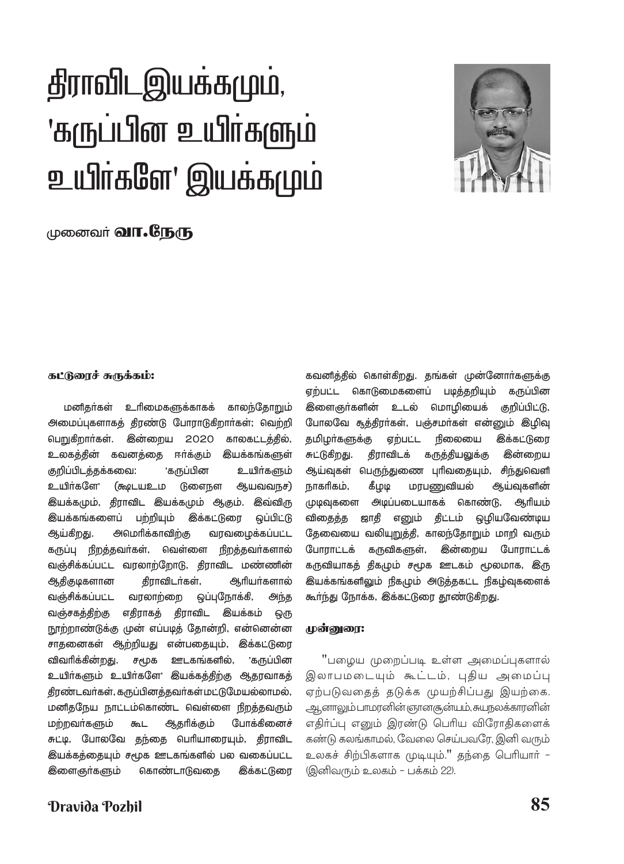# திராவிடஇயக்கமும், 'கருப்பின் உயிர்களும் உயிர்களே' இயக்கமும்



# முனைவர் **வா.ரே.ந**ரு

#### கட்டுரைச் சுருக்கம்:

மனிதர்கள் உரிமைகளுக்காகக் காலந்தோறும் அமைப்புகளாகத் தீரண்டு போராடுகிறார்கள்; வெற்றி பெறுகிறார்கள். **<sup>இன்றைய 2020**</sup> காலகட்டத்தில், ஈா்க்கும் உலகத்தின் கவனத்தை **இயக்கங்களுள்** குறிப்பிடத்தக்கவை: 'கருப்பின உயிர்களும் உயிர்களே' (கூடியஉம டுளைநள ஆயவவநச) இயக்கமும், திராவிட இயக்கமும் ஆகும். இவ்விரு இயக்கங்களைப் பற்றியும் **இக்கட்டுரை** ஒப்பிட்டு அமெரிக்காவிற்கு வரவமைக்கப்பட்ட ஆய்கிறது. கருப்பு நிறத்தவர்கள், வெள்ளை நிறத்தவர்களால் வஞ்சிக்கப்பட்ட வரலாற்றோடு, திராவிட மண்ணின் ஆதிகுடிகளான திராவிடர்கள், ஆரியர்களால் வஞ்சிக்கப்பட்ட வரலாற்றை ஒப்புநோக்கி, அந்த வஞ்சகத்திற்கு எதிராகத் திராவிட இயக்கம் ஒரு நூற்றாண்டுக்கு முன் எப்படித் தோன்றி, என்னென்ன சாதனைகள் ஆற்றியது என்பதையும், இக்கட்டுரை விவரிக்கின்றது. சமூக ஊடகங்களில், 'கருப்பின உயிர்களும் உயிர்களே' இயக்கத்திற்கு ஆதரவாகத் திரண்டவர்கள், கருப்பினத்தவர்கள் மட்டுமேயல்லாமல், மனிதநேய நாட்டம்கொண்ட வெள்ளை நிறத்தவரும் மற்றவர்களும் கூட ஆதரிக்கும் போக்கினைச் சுட்டி, போலவே தந்தை பெரியாரையும், திராவிட இயக்கத்தையும் சமூக ஊடகங்களில் பல வகைப்பட்ட **<sup>இளைஞா்களும்**</sup> கொண்டாடுவதை **இக்கட்டுரை** 

எற்பட்ட கொடுமைகளைப் படித்தறியும் கருப்பின <u> இ</u>ளைஞா்களின் உடல் மொழியைக் குறிப்பிட்டு, போலவே சூத்திரா்கள், பஞ்சமா்கள் என்னும் இழிவு தமிழா்களுக்கு ஏற்பட்ட நிலையை **இக்கட்டுரை** சுட்டுகிறது. திராவிடக் கருத்தியலுக்கு **இன்றைய** ஆய்வுகள் பெருந்துணை புரிவதையும், சிந்துவெளி நாகரிகம், கீமுடி மரபணுவியல் ஆய்வுகளின் முடிவுகளை அடிப்படையாகக் கொண்டு, ஆரியம் திட்டம் ஒழியவேண்டிய விகைக்க ஜாகி எனும் தேவையை வலியுறுத்தி, காலந்தோறும் மாறி வரும் போராட்டக் கருவிகளுள், **இன்றைய** போராட்டக் கருவியாகத் திகமும் சமூக ஊடகம் மூலமாக, இரு இயக்கங்களிலும் நிகமும் அடுத்தகட்ட நிகழ்வுகளைக் கூர்ந்து நோக்க, இக்கட்டுரை தூண்டுகிறது.

கவனித்தில் கொள்கிறது. தங்கள் முன்னோர்களுக்கு

## முன்னுரை:

"பழைய முறைப்படி உள்ள அமைப்புகளால் இலாபமடையும் கூட்டம், புதிய அமைப்பு ஏற்படுவதைத் தடுக்க முயற்சிப்பது இயற்கை. ஆனாலும் பாமரனின் ஞானசூன்யம், சுயநலக்காரனின் எதிர்ப்பு எனும் இரண்டு பெரிய விரோதிகளைக் கண்டு கலங்காமல், வேலை செய்பவரே, இனி வரும் உலகச் சிற்பிகளாக முடியும்." தந்தை பெரியாா் – (இனிவரும் உலகம் – பக்கம் 22).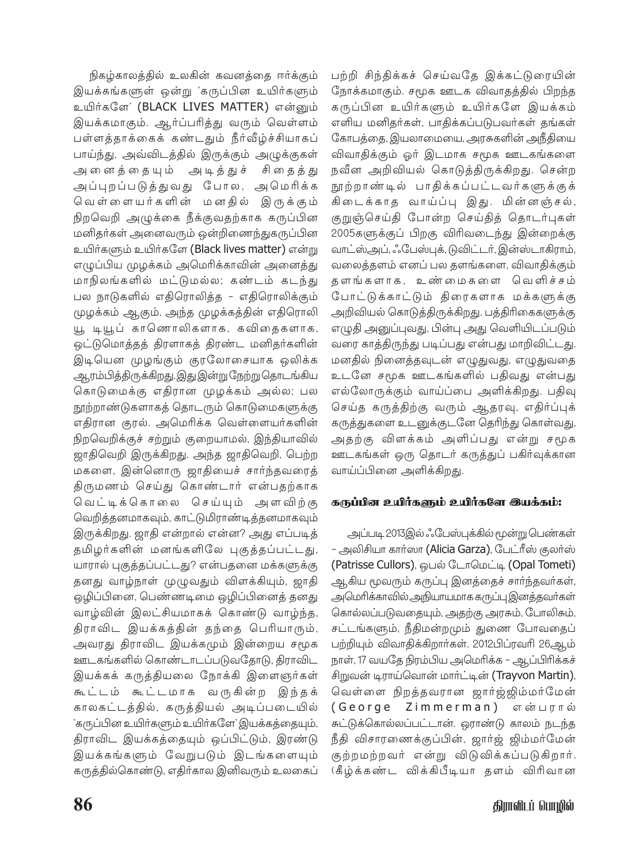நிகழ்காலத்தில் உலகின் கவனத்தை ஈர்க்கும் இயக்கங்களுள் ஒன்று 'கருப்பின உயிர்களும் உயிர்களே' (BLACK LIVES MATTER) என்னும் .<br>இயக்கமாகும். ஆர்ப்பரித்து வரும் வெள்ளம் .<br>பள்ளத்தாக்கைக் கண்டதும் நீர்வீழ்ச்சியாகப் பாய்ந்து, அவ்விடத்தில் இருக்கும் அழுக்குகள் .<br>அனைத்தையும் அடித்துச் சிதைத்து அப்புறப்படுத்துவது போல, அமெரிக்க .<br>வெள்ளையர்களின் மனதில் இருக்கும் நிறவெறி அழுக்கை நீக்குவதற்காக கருப்பின மனிதர்கள் அனைவரும் ஒன்றிணைந்துகருப்பின உயிர்களும் உயிர்களே (Black lives matter) என்று எழுப்பிய முழக்கம் அமெரிக்காவின் அனைத்து மாநிலங்களில் மட்டுமல்ல; கண்டம் கடந்து பல நாடுகளில் எதிரொலித்த – எதிரொலிக்கும் முழக்கம் ஆகும். அந்த முழக்கத்தின் எதிரொலி யூ டியூப் காணொலிகளாக, கவிதைகளாக, ஒட்டுமொத்தத் திரளாகத் திரண்ட மனிதர்களின் இடியென முழங்கும் குரலோசையாக ஒலிக்க ஆரம்பித்திருக்கிறது.இது இன்று நேற்று தொடங்கிய கொடுமைக்கு எதிரான முழக்கம் அல்ல; பல நூற்றாண்டுகளாகத் தொடரும் கொடுமைகளுக்கு எதிரான குரல். அமெரிக்க வெள்ளையர்களின் நிறவெறிக்குச் சற்றும் குறையாமல், இந்தியாவில் ஜாதிவெறி இருக்கிறது. அந்த ஜாதிவெறி, பெற்ற மகளை, இன்னொரு ஜாதியைச் சார்ந்தவரைத் திருமணம் செய்து கொண்டார் என்பதற்காக வெட்டிக்கொலை செய்யும் அளவிற்கு வெறித்தனமாகவும், காட்டுமிராண்டித்தனமாகவும் இருக்கிறது. ஜாதி என்றால் என்ன? அது எப்படித் தமிழர்களின் மனங்களிலே புகுத்தப்பட்டது, யாரால் புகுத்தப்பட்டது? என்பதனை மக்களுக்கு தனது வாழ்நாள் முழுவதும் விளக்கியும், ஜாதி ஒழிப்பினை, பெண்ணடிமை ஒழிப்பினைத் தனது வாழ்வின் இலட்சியமாகக் கொண்டு வாழ்ந்த, திராவிட இயக்கத்தின் தந்தை பெரியாரும், அவரது திராவிட இயக்கமும் இன்றைய சமூக ஊடகங்களில் கொண்டாடப்படுவதோடு, திராவிட இயக்கக் கருத்தியலை நோக்கி இளைஞர்கள் கூட்டம் கூட்டமாக வருகின்ற இந்தக் காலகட்டத்தில், கருத்தியல் அடிப்படையில் 'கருப்பின உயிர்களும் உயிர்களே' இயக்கத்தையும், திராவிட இயக்கத்தையும் ஒப்பிட்டும், இரண்டு இயக்கங்களும் வேறுபடும் இடங்களையும் கருத்தில்கொண்டு, எதிர்கால இனிவரும் உலகைப் பற்றி சிந்திக்கச் செய்வதே இக்கட்டுரையின் நோக்கமாகும். சமூக ஊடக விவாதத்தில் பிறந்த கருப்பின உயிர்களும் உயிர்களே இயக்கம் எளிய மனிதர்கள், பாதிக்கப்படுபவர்கள் தங்கள் கோபத்தை, இயலாமையை, அரசுகளின் அநீதியை விவாதிக்கும் ஓர் இடமாக சமூக ஊடகங்களை நவீன அறிவியல் கொடுத்திருக்கிறது. சென்ற நூற்றாண்டில் பாதிக்கப்பட்டவர்களுக்குக் .<br>கிடைக்காத வாய்ப்பு இது. மின்னஞ்சல், குறுஞ்செய்தி போன்ற செய்தித் தொடர்புகள் 2005களுக்குப் பிறகு விரிவடைந்து இன்றைக்கு வாட்ஸ்அப், ஃபேஸ்புக், டுவிட்டர், இன்ஸ்டாகிராம், வலைத்தளம் எனப் பல தளங்களை, விவாதிக்கும் தளங்களாக, உண்மைகளை வெளிச்சம் போட்டுக்காட்டும் திரைகளாக மக்களுக்கு அறிவியல் கொடுத்திருக்கிறது. பத்திரிகைகளுக்கு எழுதி அனுப்புவது, பின்பு அது வெளியிடப்படும் வரை காத்திருந்து படிப்பது என்பது மாறிவிட்டது. மனதில் நினைத்தவுடன் எழுதுவது, எழுதுவதை உடனே சமூக ஊடகங்களில் பதிவது என்பது எல்லோருக்கும் வாய்ப்பை அளிக்கிறது. பதிவு செய்த கருத்திற்கு வரும் ஆதரவு, எதிர்ப்புக் கருத்துகளை உடனுக்குடனே தெரிந்து கொள்வது, அதற்கு விளக்கம் அளிப்பது என்று சமூக ஊடகங்கள் ஒரு தொடர் கருத்துப் பகிர்வுக்கான வாய்ப்பினை அளிக்கிறது.

## கருப்பின உயிர்களும் உயிர்களே இயக்கம்:

அப்படி 2013இல் ஃபேஸ்புக்கில் மூன்று பெண்கள் – அலிசியா கார்ஸா (Alicia Garza), பேட்ரீஸ் குலர்ஸ் (Patrisse Cullors), ஒபல் டோமெட்டி (Opal Tometi) ஆகிய மூவரும் கருப்பு இனத்தைச் சார்ந்தவர்கள், அமெரிக்காவில் அநியாயமாக கருப்பு இனத்தவர்கள் கொல்லப்படுவதையும், அதற்கு அரசும், போலிசும், சட்டங்களும், நீதிமன்றமும் துணை போவதைப் பற்றியும் விவாதிக்கிறார்கள். 2012பிப்ரவரி 26ஆம் நாள், 17 வயதே நிரம்பிய அமெரிக்க – ஆப்பிரிக்கச் சிறுவன் டிராய்வொன் மார்ட்டின் (Trayvon Martin), வெள்ளை நிறத்தவரான ஜார்ஜ்ஜிம்மர்மேன் (George Zimmerman) என்பரால் சுட்டுக்கொல்லப்பட்டான். ஒராண்டு காலம் நடந்த நீதி விசாரணைக்குப்பின், ஜார்ஜ் ஜிம்மர்மேன் குற்றமற்றவர் என்று விடுவிக்கப்படுகிறார். (கீழ்க்கண்ட விக்கிபீடியா தளம் விரிவான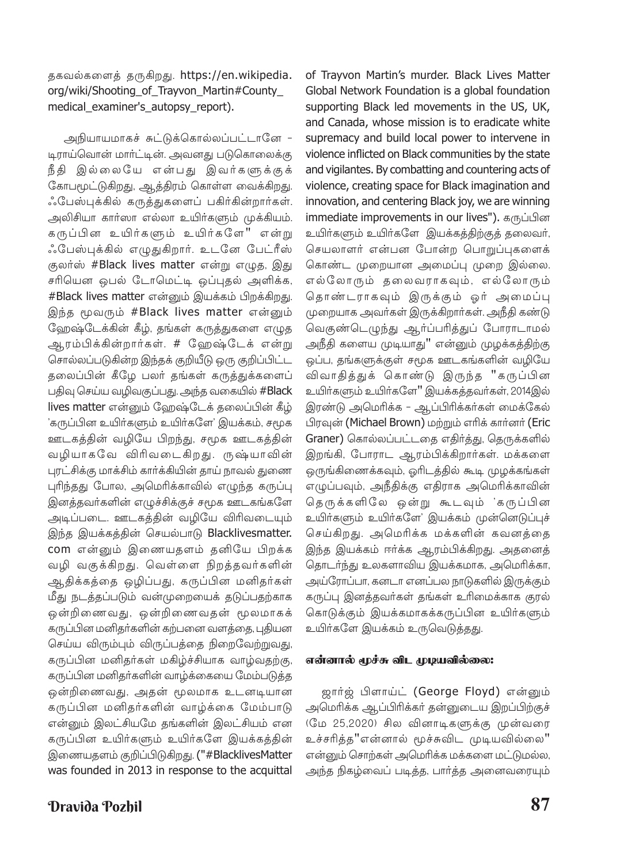## தகவல்களைத் தருகிறது. https://en.wikipedia. org/wiki/Shooting\_of\_Trayvon\_Martin#County\_ medical examiner's autopsy report).

அநியாயமாகச் சுட்டுக்கொல்லப்பட்டானே -டிராய்வொன் மார்ட்டின். அவனது படுகொலைக்கு நீதி இல்லையே என்பது இவர்களுக்குக் கோபமூட்டுகிறது, ஆத்திரம் கொள்ள வைக்கிறது. ஃபேஸ்புக்கில் கருத்துகளைப் பகிர்கின்றார்கள். அலிசியா கார்ஸா எல்லா உயிர்களும் முக்கியம். கருப்பின உயிர்களும் உயிர்களே" என்று ஃபேஸ்புக்கில் எழுதுகிறார். உடனே பேட்ரீஸ் குலர்ஸ் #Black lives matter என்று எழுத, இது சரியென ஒபல் டோமெட்டி ஒப்புதல் அளிக்க, #Black lives matter என்னும் இயக்கம் பிறக்கிறது. இந்த மூவரும் #Black lives matter என்னும் ஹேஷ்டேக்கின் கீழ், தங்கள் கருத்துகளை எழுத ஆரம்பிக்கின்றார்கள். # ஹேஷ்டேக் என்று சொல்லப்படுகின்ற இந்தக் குறியீடு ஒரு குறிப்பிட்ட தலைப்பின் கீழே பலர் தங்கள் கருத்துக்களைப் பதிவு செய்ய வழிவகுப்பது. அந்த வகையில் #Black lives matter என்னும் ஹேஷ்டேக் தலைப்பின் கீழ் 'கருப்பின உயிர்களும் உயிர்களே' இயக்கம், சமூக ஊடகத்தின் வழியே பிறந்து, சமூக ஊடகத்தின் வழியாகவே விரிவடைகிறது. ருஷ்யாவின் புரட்சிக்கு மாக்சிம் கார்க்கியின் தாய் நாவல் துணை புரிந்தது போல, அமெரிக்காவில் எழுந்த கருப்பு இனத்தவர்களின் எழுச்சிக்குச் சமூக ஊடகங்களே அடிப்படை. ஊடகத்தின் வழியே விரிவடையும் இந்த இயக்கத்தின் செயல்பாடு Blacklivesmatter. com என்னும் இணையதளம் தனியே பிறக்க வழி வகுக்கிறது. வெள்ளை நிறத்தவர்களின் ஆதிக்கத்தை ஒழிப்பது, கருப்பின மனிதர்கள் மீது நடத்தப்படும் வன்முறையைக் தடுப்பதற்காக ஒன்றிணைவது, ஒன்றிணைவதன் மூலமாகக் கருப்பின மனிதர்களின் கற்பனை வளத்தை, புதியன செய்ய விரும்பும் விருப்பத்தை நிறைவேற்றுவது, கருப்பின மனிதர்கள் மகிழ்ச்சியாக வாழ்வதற்கு, கருப்பின மனிதர்களின் வாழ்க்கையை மேம்படுத்த ஒன்றிணைவது, அதன் மூலமாக உடனடியான கருப்பின மனிதர்களின் வாழ்க்கை மேம்பாடு என்னும் இலட்சியமே தங்களின் இலட்சியம் என கருப்பின உயிர்களும் உயிர்களே இயக்கத்தின் இணையதளம் குறிப்பிடுகிறது. ("#BlacklivesMatter was founded in 2013 in response to the acquittal

**Dravida Pozhil** 

of Trayyon Martin's murder. Black Lives Matter Global Network Foundation is a global foundation supporting Black led movements in the US, UK, and Canada, whose mission is to eradicate white supremacy and build local power to intervene in violence inflicted on Black communities by the state and vigilantes. By combatting and countering acts of violence, creating space for Black imagination and innovation, and centering Black joy, we are winning immediate improvements in our lives"). கருப்பின உயிர்களும் உயிர்களே இயக்கத்திற்குத் தலைவர், செயலாளர் என்பன போன்ற பொறுப்புகளைக் கொண்ட முறையான அமைப்பு முறை இல்லை. எல்லோரும் தலைவராகவும், எல்லோரும் தொண்டராகவும் இருக்கும் ஓர் அமைப்பு முறையாக அவர்கள் இருக்கிறார்கள். அநீதி கண்டு வெகுண்டெழுந்து ஆர்ப்பரித்துப் போராடாமல் அநீதி களைய முடியாது" என்னும் முழக்கத்திற்கு ஒப்ப, தங்களுக்குள் சமூக ஊடகங்களின் வழியே விவாதித்துக் கொண்டு இருந்த "கருப்பின உயிர்களும் உயிர்களே'' இயக்கத்தவர்கள், 2014இல் இரண்டு அமெரிக்க – ஆப்பிரிக்கர்கள் மைக்கேல் பிரவுன் (Michael Brown) மற்றும் எரிக் கார்னர் (Eric Graner) கொல்லப்பட்டதை எதிர்த்து, தெருக்களில் இறங்கி, போராட ஆரம்பிக்கிறார்கள். மக்களை ஒருங்கிணைக்கவும், ஓரிடத்தில் கூடி முழக்கங்கள் எழுப்பவும், அநீதிக்கு எதிராக அமெரிக்காவின் தெருக்களிலே ஒன்று கூடவும் 'கருப்பின உயிர்களும் உயிர்களே' இயக்கம் முன்னெடுப்புச் செய்கிறது. அமெரிக்க மக்களின் கவனத்தை இந்த இயக்கம் ஈர்க்க ஆரம்பிக்கிறது. அதனைத் தொடர்ந்து உலகளாவிய இயக்கமாக, அமெரிக்கா, அய்ரோப்பா, கனடா எனப்பல நாடுகளில் இருக்கும் கருப்பு இனத்தவர்கள் தங்கள் உரிமைக்காக குரல் கொடுக்கும் இயக்கமாகக்கருப்பின உயிர்களும் உயிர்களே இயக்கம் உருவெடுத்தது.

## என்னால் மூச்சு விட முடியவில்லை:

ஜார்ஜ் பிளாய்ட் (George Floyd) என்னும் அமெரிக்க ஆப்பிரிக்கர் தன்னுடைய இறப்பிற்குச் (மே 25,2020) சில வினாடிகளுக்கு முன்வரை உச்சரித்த"என்னால் மூச்சுவிட முடியவில்லை" என்னும் சொற்கள் அமெரிக்க மக்களை மட்டுமல்ல, அந்த நிகழ்வைப் படித்த, பார்த்த அனைவரையும்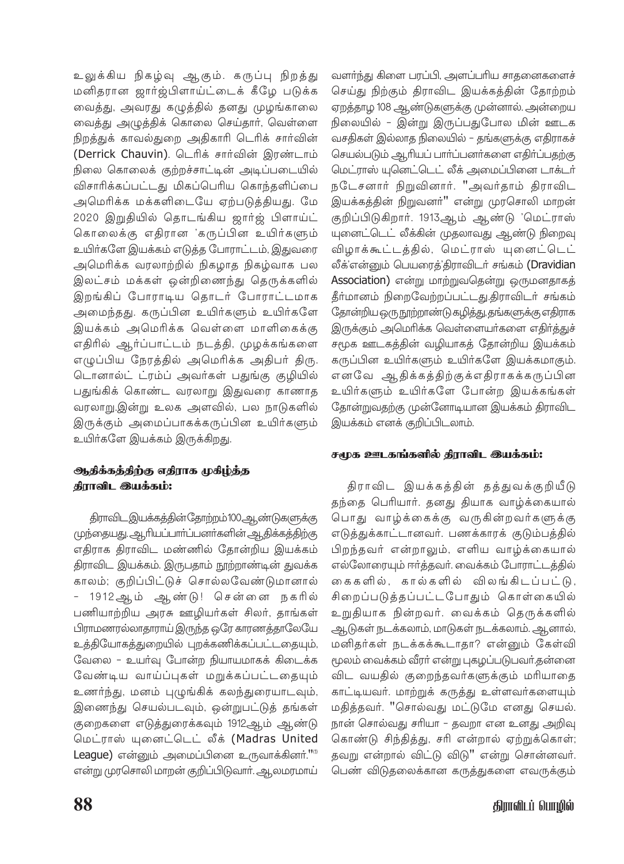உலுக்கிய நிகழ்வு ஆகும். கருப்பு நிறத்து மனிதரான ஜார்ஜ்பிளாய்ட்டைக் கீழே படுக்க வைத்து, அவரது கழுத்தில் தனது முழங்காலை வைத்து அழுத்திக் கொலை செய்தார், வெள்ளை நிறத்துக் காவல்துறை அதிகாரி டெரிக் சார்வின் (Derrick Chauvin). டெரிக் சார்வின் இரண்டாம் நிலை கொலைக் குற்றச்சாட்டின் அடிப்படையில் விசாரிக்கப்பட்டது மிகப்பெரிய கொந்தளிப்பை அமெரிக்க மக்களிடையே ஏற்படுத்தியது. மே 2020 இறுதியில் தொடங்கிய ஜார்ஜ் பிளாய்ட் கொலைக்கு எதிரான 'கருப்பின உயிர்களும் உயிர்களே இயக்கம் எடுத்த போராட்டம், இதுவரை அமெரிக்க வரலாற்றில் நிகழாத நிகழ்வாக பல இலட்சம் மக்கள் ஒன்றிணைந்து தெருக்களில் இறங்கிப் போராடிய தொடர் போராட்டமாக அமைந்தது. கருப்பின உயிர்களும் உயிர்களே இயக்கம் அமெரிக்க வெள்ளை மாளிகைக்கு எதிரில் ஆர்ப்பாட்டம் நடத்தி, முழக்கங்களை எழுப்பிய நேரத்தில் அமெரிக்க அதிபர் திரு. டொனால்ட் ட்ரம்ப் அவர்கள் பதுங்கு குழியில் பதுங்கிக் கொண்ட வரலாறு இதுவரை காணாத வரலாறு.இன்று உலக அளவில், பல நாடுகளில் இருக்கும் அமைப்பாகக்கருப்பின உயிர்களும் உயிர்களே இயக்கம் இருக்கிறது.

## ஆதிக்கத்திற்கு எதிராக முகிழ்த்த கிராவிட இயக்கம்:

திராவிட இயக்கத்தின்தோற்றம்100ஆண்டுகளுக்கு முந்தையது. ஆரியப்பார்ப்பனர்களின் ஆதிக்கத்திற்கு எதிராக திராவிட மண்ணில் தோன்றிய இயக்கம் திராவிட இயக்கம். இருபதாம் நூற்றாண்டின் துவக்க காலம்; குறிப்பிட்டுச் சொல்லவேண்டுமானால் 1912 ஆம் ஆண்டு! சென்னை நகரில் பணியாற்றிய அரசு ஊழியர்கள் சிலர், தாங்கள் பிராமணரல்லாதாராய் இருந்த ஒரே காரணத்தாலேயே உத்தியோகத்துறையில் புறக்கணிக்கப்பட்டதையும், வேலை - உயர்வு போன்ற நியாயமாகக் கிடைக்க வேண்டிய வாய்ப்புகள் மறுக்கப்பட்டதையும் உணர்ந்து, மனம் புழுங்கிக் கலந்துரையாடவும், இணைந்து செயல்படவும், ஒன்றுபட்டுத் தங்கள் குறைகளை எடுத்துரைக்கவும் 1912ஆம் ஆண்டு மெட்ராஸ் யுனைட்டெட் லீக் (Madras United League) என்னும் அமைப்பினை உருவாக்கினர்."<sup>11</sup> என்று முரசொலி மாறன் குறிப்பிடுவாா். ஆலமரமாய் வளர்ந்து கிளை பரப்பி, அளப்பரிய சாதனைகளைச் செய்து நிற்கும் திராவிட இயக்கத்தின் தோற்றம் ஏறத்தாழ 108 ஆண்டுகளுக்கு முன்னால். அன்றைய நிலையில் – இன்று இருப்பதுபோல மின் ஊடக .<br>வசதிகள் இல்லாத நிலையில் – தங்களுக்கு எதிராகச் செயல்படும் ஆரியப் பார்ப்பனர்களை எதிர்ப்பதற்கு மெட்ராஸ் யுனெட்டெட் லீக் அமைப்பினை டாக்டர் நடேசனார் நிறுவினார். "அவர்தாம் திராவிட .<br>இயக்கத்தின் நிறுவனா்'' என்று முரசொலி மாறன் குறிப்பிடுகிறார். 1913ஆம் ஆண்டு 'மெட்ராஸ் யுனைட்டெட் லீக்கின் முதலாவது ஆண்டு நிறைவு விழாக்கூட்டத்தில், மெட்ராஸ் யுனைட்டெட் லீக்'என்னும் பெயரைத்'திராவிடர் சங்கம் (Dravidian Association) என்று மாற்றுவதென்று ஒருமனதாகத் தீர்மானம் நிறைவேற்றப்பட்டது.திராவிடர் சங்கம் தோன்றிய ஒரு நூற்றாண்டு கழித்து, தங்களுக்கு எதிராக இருக்கும் அமெரிக்க வெள்ளையர்களை எதிர்த்துச் சமூக ஊடகத்தின் வழியாகத் தோன்றிய இயக்கம் கருப்பின உயிர்களும் உயிர்களே இயக்கமாகும். எனவே ஆதிக்கத்திற்குக்எதிராகக்கருப்பின உயிர்களும் உயிர்களே போன்ற இயக்கங்கள் தோன்றுவதற்கு முன்னோடியான இயக்கம் திராவிட இயக்கம் எனக் குறிப்பிடலாம்.

# சமூக ஊடகங்களில் திராவிட இயக்கம்:

திராவிட இயக்கத்தின் தத்துவக்குறியீடு தந்தை பெரியார். தனது தியாக வாழ்க்கையால் பொது வாழ்க்கைக்கு வருகின்றவர்களுக்கு எடுத்துக்காட்டானவர். பணக்காரக் குடும்பத்தில் பிறந்தவர் என்றாலும், எளிய வாழ்க்கையால் எல்லோரையும் ஈர்த்தவர். வைக்கம் போராட்டத்தில் கைகளில், கால்களில் விலங்கிடப்பட்டு, சிறைப்படுத்தப்பட்டபோதும் கொள்கையில் உறுதியாக நின்றவர். வைக்கம் தெருக்களில் ஆடுகள் நடக்கலாம், மாடுகள் நடக்கலாம். ஆனால், மனிதர்கள் நடக்கக்கூடாதா? என்னும் கேள்வி மூலம் வைக்கம் வீரா் என்று புகழப்படுபவா்.தன்னை விட வயதில் குறைந்தவர்களுக்கும் மரியாதை காட்டியவர். மாற்றுக் கருத்து உள்ளவர்களையும் மதித்தவர். "சொல்வது மட்டுமே எனது செயல். நான் சொல்வது சரியா - தவறா என உனது அறிவு கொண்டு சிந்தித்து, சரி என்றால் ஏற்றுக்கொள்; தவறு என்றால் விட்டு விடு" என்று சொன்னவர். பெண் விடுதலைக்கான கருத்துகளை எவருக்கும்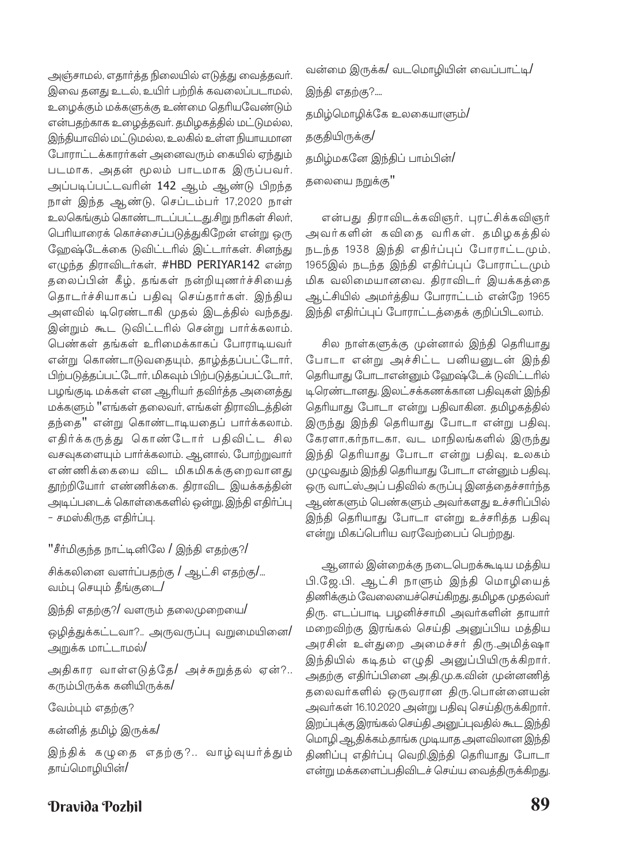அஞ்சாமல், எதார்த்த நிலையில் எடுத்து வைத்தவர். இவை தனது உடல், உயிர் பற்றிக் கவலைப்படாமல், உழைக்கும் மக்களுக்கு உண்மை தெரியவேண்டும் என்பதற்காக உழைத்தவர். தமிழகத்தில் மட்டுமல்ல, இந்தியாவில் மட்டுமல்ல, உலகில் உள்ள நியாயமான போராட்டக்காரர்கள் அனைவரும் கையில் ஏந்தும் படமாக, அதன் மூலம் பாடமாக இருப்பவர். அப்படிப்பட்டவரின் 142 ஆம் ஆண்டு பிறந்த நாள் இந்த ஆண்டு, செப்டம்பர் 17,2020 நாள் உலகெங்கும் கொண்டாடப்பட்டது.சிறு நரிகள் சிலர், பெரியாரைக் கொச்சைப்படுத்துகிறேன் என்று ஒரு ஹேஷ்டேக்கை டுவிட்டரில் இட்டார்கள். சினந்து எழுந்த திராவிடர்கள், #HBD PERIYAR142 என்ற தலைப்பின் கீழ், தங்கள் நன்றியுணர்ச்சியைத் தொடர்ச்சியாகப் பதிவு செய்தார்கள். இந்திய அளவில் டிரெண்டாகி முதல் இடத்தில் வந்தது. இன்றும் கூட டுவிட்டரில் சென்று பார்க்கலாம். பெண்கள் தங்கள் உரிமைக்காகப் போராடியவர் என்று கொண்டாடுவதையும், தாழ்த்தப்பட்டோர், பிற்படுத்தப்பட்டோர், மிகவும் பிற்படுத்தப்பட்டோர், பழங்குடி மக்கள் என ஆரியா் தவிா்த்த அனைத்து மக்களும் "எங்கள் தலைவர், எங்கள் திராவிடத்தின் தந்தை" என்று கொண்டாடியதைப் பார்க்கலாம். எதிர்க்கருத்து கொண்டோர் பதிவிட்ட சில வசவுகளையும் பார்க்கலாம். ஆனால், போற்றுவார் எண்ணிக்கையை விட மிகமிகக்குறைவானது தூற்றியோர் எண்ணிக்கை. திராவிட இயக்கத்தின் அடிப்படைக் கொள்கைகளில் ஒன்று, இந்தி எதிர்ப்பு – சமஸ்கிருக எகிர்ப்பு.

"சீர்மிகுந்த நாட்டினிலே / இந்தி எதற்கு?/

சிக்கலினை வளர்ப்பதற்கு / ஆட்சி எதற்கு/... வம்பு செயும் தீங்குடை/

இந்தி எதற்கு?/ வளரும் தலைமுறையை/

ஒழித்துக்கட்டவா?.. அருவருப்பு வறுமையினை/ அறுக்க மாட்டாமல்/

அதிகார வாள்எடுத்தே/ அச்சுறுத்தல் ஏன்?.. கரும்பிருக்க கனியிருக்க/

வேம்பும் எதற்கு?

கன்னித் தமிழ் இருக்க/

இந்திக் கழுதை எதற்கு?.. வாழ்வுயர்த்தும் தாய்மொழியின்/

வன்மை இருக்க/ வடமொழியின் வைப்பாட்டி/ இந்தி எதற்கு?.... தமிழ்மொழிக்கே உலகையாளும்/ தகுதியிருக்கு**/** தமிழ்மகனே இந்திப் பாம்பின்/ தலையை நறுக்கு"

என்பது திராவிடக்கவிஞர், புரட்சிக்கவிஞர் அவர்களின் கவிதை வரிகள். தமிழகத்தில் நடந்த 1938 இந்தி எதிர்ப்புப் போராட்டமும், 1965இல் நடந்த இந்தி எதிர்ப்புப் போராட்டமும் மிக வலிமையானவை. திராவிடர் இயக்கத்தை ஆட்சியில் அமர்த்திய போராட்டம் என்றே 1965 இந்தி எதிர்ப்புப் போராட்டத்தைக் குறிப்பிடலாம்.

சில நாள்களுக்கு முன்னால் இந்தி தெரியாது போடா என்று அச்சிட்ட பனியனுடன் இந்தி தெரியாது போடாஎன்னும் ஹேஷ்டேக் டுவிட்டரில் டிரெண்டானது. இலட்சக்கணக்கான பதிவுகள் இந்தி தெரியாது போடா என்று பதிவாகின. தமிழகத்தில் இருந்து இந்தி தெரியாது போடா என்று பதிவு, கேரளா,கர்நாடகா, வட மாநிலங்களில் இருந்து இந்தி தெரியாது போடா என்று பதிவு, உலகம் முழுவதும் இந்தி தெரியாது போடா என்னும் பதிவு, ஒரு வாட்ஸ்அப் பதிவில் கருப்பு இனத்தைச்சார்ந்த ஆண்களும் பெண்களும் அவர்களது உச்சரிப்பில் இந்தி தெரியாது போடா என்று உச்சரித்த பதிவு என்று மிகப்பெரிய வரவேற்பைப் பெற்றது.

ஆனால் இன்றைக்கு நடைபெறக்கூடிய மத்திய பி.ஜே.பி. ஆட்சி நாளும் இந்தி மொழியைத் திணிக்கும் வேலையைச்செய்கிறது. தமிழக முதல்வர் திரு. எடப்பாடி பழனிச்சாமி அவர்களின் தாயார் மறைவிற்கு இரங்கல் செய்தி அனுப்பிய மத்திய அரசின் உள்துறை அமைச்சர் திரு.அமித்ஷா இந்தியில் கடிதம் எழுதி அனுப்பியிருக்கிறார். அதற்கு எதிர்ப்பினை அ.தி.மு.க.வின் முன்னணித் தலைவர்களில் ஒருவரான திரு.பொன்னையன் அவர்கள் 16.10.2020 அன்று பதிவு செய்திருக்கிறார். இறப்புக்கு இரங்கல் செய்தி அனுப்புவதில் கூட இந்தி மொழி ஆதிக்கம்.தாங்க முடியாத அளவிலான இந்தி திணிப்பு எதிர்ப்பு வெறி,இந்தி தெரியாது போடா என்று மக்களைப்பதிவிடச் செய்ய வைத்திருக்கிறது.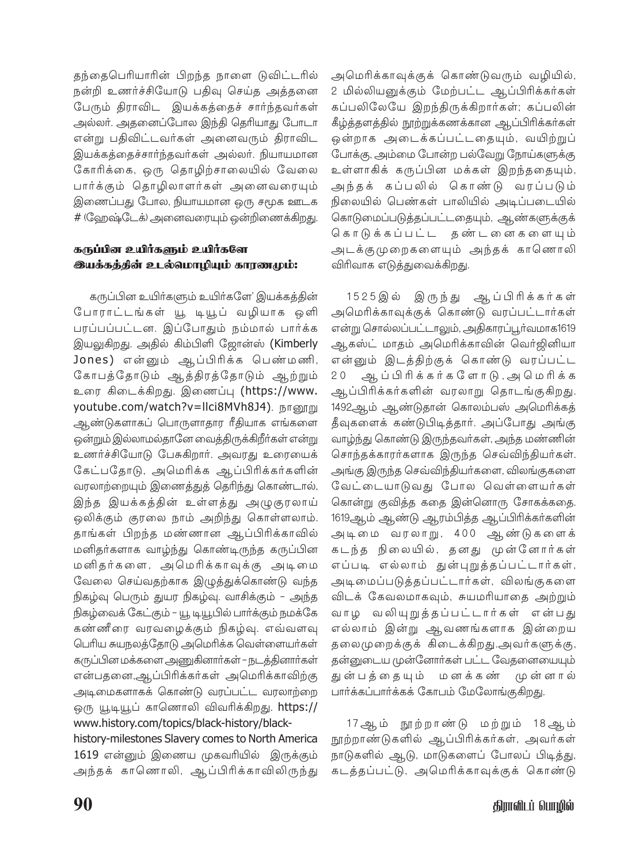தந்தைபெரியாரின் பிறந்த நாளை டுவிட்டரில் நன்றி உணர்ச்சியோடு பதிவு செய்த அத்தனை பேரும் திராவிட இயக்கத்தைச் சார்ந்தவர்கள் அல்லர். அதனைப்போல இந்தி தெரியாது போடா என்று பதிவிட்டவர்கள் அனைவரும் திராவிட இயக்கத்தைச்சார்ந்தவர்கள் அல்லர். நியாயமான கோரிக்கை, ஒரு தொழிற்சாலையில் வேலை பார்க்கும் தொழிலாளர்கள் அனைவரையும் இணைப்பது போல, நியாயமான ஒரு சமூக ஊடக # (வேறஷ்டேக்) அனைவரையும் ஒன்றிணைக்கிறது.

## கருப்பின உயிர்களும் உயிர்களே **இயக்கத்தின் உடல்மொழியும் காரணமும்:**

கருப்பின உயிர்களும் உயிர்களே' இயக்கத்தின் போராட்டங்கள் யூ டியூப் வழியாக ஒளி பரப்பப்பட்டன. இப்போதும் நம்மால் பார்க்க இயலுகிறது. அதில் கிம்பிளி ஜோன்ஸ் (Kimberly Jones) என்னும் ஆப்பிரிக்க பெண்மணி, கோபத்தோடும் ஆத்திரத்தோடும் ஆற்றும் உரை கிடைக்கிறது. இணைப்பு (https://www. youtube.com/watch?v=Ilci8MVh8J4). நானூறு ஆண்டுகளாகப் பொருளாதார ரீதியாக எங்களை ஒன்றும் இல்லாமல்தானே வைத்திருக்கிறீர்கள் என்று உணர்ச்சியோடு பேசுகிறார். அவரது உரையைக் கேட்பதோடு, அமெரிக்க ஆப்பிரிக்கர்களின் வரலாற்றையும் இணைத்துத் தெரிந்து கொண்டால், இந்த இயக்கத்தின் உள்ளத்து அழுகுரலாய் ஒலிக்கும் குரலை நாம் அறிந்து கொள்ளலாம். தாங்கள் பிறந்த மண்ணான ஆப்பிரிக்காவில் மனிதா்களாக வாழ்ந்து கொண்டிருந்த கருப்பின மனிதர்களை, அமெரிக்காவுக்கு அடிமை வேலை செய்வதற்காக இழுத்துக்கொண்டு வந்த நிகழ்வு பெரும் துயர நிகழ்வு. வாசிக்கும் – அந்த நிகழ்வைக் கேட்கும் – யூ டியூபில் பார்க்கும் நமக்கே கண்ணீரை வரவழைக்கும் நிகழ்வு. எவ்வளவு பெரிய சுயநலத்தோடு அமெரிக்க வெள்ளையர்கள் கருப்பின மக்களை அணுகினார்கள் – நடத்தினார்கள் என்பதனை,ஆப்பிரிக்கர்கள் அமெரிக்காவிற்கு அடிமைகளாகக் கொண்டு வரப்பட்ட வரலாற்றை ஒரு யூடியூப் காணொலி விவரிக்கிறது. https:// www.history.com/topics/black-history/black-

history-milestones Slavery comes to North America 1619 என்னும் இணைய முகவரியில் இருக்கும் அந்தக் காணொலி, ஆப்பிரிக்காவிலிருந்து அமெரிக்காவுக்குக் கொண்டுவரும் வழியில், 2 மில்லியனுக்கும் மேற்பட்ட ஆப்பிரிக்கர்கள் கப்பலிலேயே இறந்திருக்கிறார்கள்; கப்பலின் கீழ்த்தளத்தில் நூற்றுக்கணக்கான ஆப்பிரிக்கர்கள் ஒன்றாக அடைக்கப்பட்டதையும், வயிற்றுப் போக்கு, அம்மை போன்ற பல்வேறு நோய்களுக்கு உள்ளாகிக் கருப்பின மக்கள் இறந்ததையும், அந்தக் கப்பலில் கொண்டு வரப்படும் நிலையில் பெண்கள் பாலியில் அடிப்படையில் கொடுமைப்படுத்தப்பட்டதையும், ஆண்களுக்குக் கொடுக்கப்பட்ட தண்டனைகளையும் அடக்குமுறைகளையும் அந்தக் காணொலி விரிவாக எடுத்துவைக்கிறது.

1525இல் இருந்து ஆப்பிரிக்கர்கள் அமெரிக்காவுக்குக் கொண்டு வரப்பட்டார்கள் என்று சொல்லப்பட்டாலும், அதிகாரப்பூர்வமாக1619 ஆகஸ்ட் மாதம் அமெரிக்காவின் வெர்ஜினியா என்னும் இடத்திற்குக் கொண்டு வரப்பட்ட ஆப்பிரிக்கர்களோடு, அமெரிக்க  $20$ ஆப்பிரிக்கர்களின் வரலாறு தொடங்குகிறது. 1492ஆம் ஆண்டுதான் கொலம்பஸ் அமெரிக்கத் தீவுகளைக் கண்டுபிடித்தார். அப்போது அங்கு வாழ்ந்து கொண்டு இருந்தவா்கள், அந்த மண்ணின் சொந்தக்காரர்களாக இருந்த செவ்விந்தியர்கள். அங்கு இருந்த செவ்விந்தியா்களை, விலங்குகளை வேட்டையாடுவது போல வெள்ளையர்கள் கொன்று குவித்த கதை இன்னொரு சோகக்கதை. 1619ஆம் ஆண்டு ஆரம்பித்த ஆப்பிரிக்கா்களின் அடிமை வரலாறு, 400 ஆண்டுகளைக் கடந்த நிலையில், தனது முன்னோர்கள் எப்படி எல்லாம் துன்புறுத்தப்பட்டார்கள், அடிமைப்படுத்தப்பட்டார்கள், விலங்குகளை விடக் கேவலமாகவும், சுயமரியாதை அற்றும் வாழ வலியுறுத்தப்பட்டார்கள் என்பது எல்லாம் இன்று ஆவணங்களாக இன்றைய தலைமுறைக்குக் கிடைக்கிறது.அவர்களுக்கு, தன்னுடைய முன்னோர்கள் பட்ட வேதனையையும் துன்பத்தையும் மனக்கண் முன்னால் பார்க்கப்பார்க்கக் கோபம் மேலோங்குகிறது.

17ஆம் நூற்றாண்டு மற்றும் 18ஆம் நூற்றாண்டுகளில் ஆப்பிரிக்கர்கள், அவர்கள் நாடுகளில் ஆடு, மாடுகளைப் போலப் பிடித்து, கடத்தப்பட்டு, அமெரிக்காவுக்குக் கொண்டு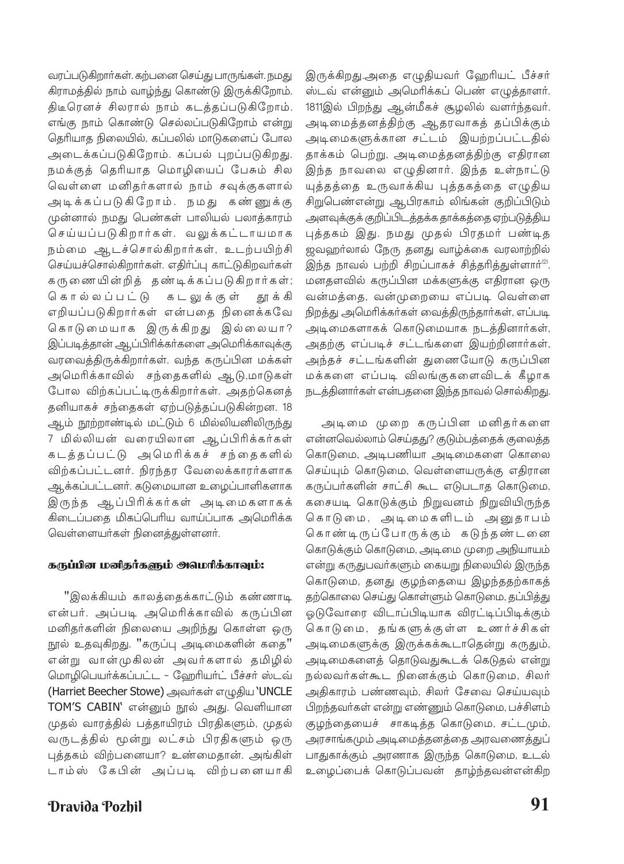வரப்படுகிறார்கள். கற்பனை செய்து பாருங்கள். நமது கிராமத்தில் நாம் வாழ்ந்து கொண்டு இருக்கிறோம். திடீரெனச் சிலரால் நாம் கடத்தப்படுகிறோம். எங்கு நாம் கொண்டு செல்லப்படுகிறோம் என்று தெரியாத நிலையில், கப்பலில் மாடுகளைப் போல அடைக்கப்படுகிறோம். கப்பல் புறப்படுகிறது. நமக்குத் தெரியாத மொழியைப் பேசும் சில வெள்ளை மனிதர்களால் நாம் சவுக்குகளால் அடிக்கப்படுகிறோம். நமது கண்ணுக்கு முன்னால் நமது பெண்கள் பாலியல் பலாத்காரம் செய்யப்படுகிறார்கள். வலுக்கட்டாயமாக நம்மை ஆடச்சொல்கிறார்கள், உடற்பயிற்சி செய்யச்சொல்கிறார்கள். எதிர்ப்பு காட்டுகிறவர்கள் கரு ணையின்றித் தண்டிக்கப்படுகிறார்கள்; கொல்லப்பட்டு க ட லு க் கு ள் தூ க் கி எறியப்படுகிறார்கள் என்பதை நினைக்கவே கொடுமையாக இருக்கிறது இல்லையா? இப்படித்தான் ஆப்பிரிக்கர்களை அமெரிக்காவுக்கு வரவைத்திருக்கிறார்கள். வந்த கருப்பின மக்கள் அமெரிக்காவில் சந்தைகளில் ஆடு,மாடுகள் போல விற்கப்பட்டிருக்கிறார்கள். அதற்கெனத் தனியாகச் சந்தைகள் ஏற்படுத்தப்படுகின்றன. 18 ஆம் நூற்றாண்டில் மட்டும் 6 மில்லியனிலிருந்து 7 மில்லியன் வரையிலான ஆப்பிரிக்கர்கள் கடத்தப்பட்டு அமெரிக்கச் சந்தைகளில் விற்கப்பட்டனர். நிரந்தர வேலைக்காரர்களாக ஆக்கப்பட்டனர். கடுமையான உழைப்பாளிகளாக இருந்த ஆப்பிரிக்கர்கள் அடிமைகளாகக் கிடைப்பதை மிகப்பெரிய வாய்ப்பாக அமெரிக்க வெள்ளையா்கள் நினைத்துள்ளனா்.

#### கருப்பின மனிதர்களும் அமெரிக்காவும்:

"இலக்கியம் காலத்தைக்காட்டும் கண்ணாடி என்பர். அப்படி அமெரிக்காவில் கருப்பின மனிதா்களின் நிலையை அறிந்து கொள்ள ஒரு நூல் உதவுகிறது. "கருப்பு அடிமைகளின் கதை" என்று வான்முகிலன் அவர்களால் தமிழில் மொழிபெயர்க்கப்பட்ட - ஹேரியர்ட் பீச்சர் ஸ்டவ் (Harriet Beecher Stowe) அவர்கள் எழுதிய `UNCLE TOM'S CABIN' என்னும் நூல் அது. வெளியான முதல் வாரத்தில் பத்தாயிரம் பிரதிகளும், முதல் வருடத்தில் மூன்று லட்சம் பிரதிகளும் ஒரு புத்தகம் விற்பனையா? உண்மைதான். அங்கிள் டாம்ஸ் கேபின் அப்படி விற்பனையாகி

**Dravida Pozhil** 

இருக்கிறது.அதை எழுதியவர் ஹேரியட் பீச்சர் ஸ்டவ் என்னும் அமெரிக்கப் பெண் எழுத்தாளர். 1811இல் பிறந்து ஆன்மீகச் சூழலில் வளர்ந்தவர். அடிமைத்தனத்திற்கு ஆதரவாகத் தப்பிக்கும் அடிமைகளுக்கான சட்டம் இயற்றப்பட்டதில் தாக்கம் பெற்று, அடிமைத்தனத்திற்கு எதிரான .<br>இந்த நாவலை எழுதினார். இந்த உள்நாட்டு யுத்தத்தை உருவாக்கிய புத்தகத்தை எழுதிய சிறுபெண்என்று ஆபிரகாம் லிங்கன் குறிப்பிடும் அளவுக்குக் குறிப்பிடத்தக்க தாக்கத்தை ஏற்படுத்திய புத்தகம் இது. நமது முதல் பிரதமர் பண்டித ஜவஹர்லால் நேரு தனது வாழ்க்கை வரலாற்றில் இந்த நாவல் பற்றி சிறப்பாகச் சித்தரித்துள்ளார்<sup>(2)</sup>. மனதளவில் கருப்பின மக்களுக்கு எதிரான ஒரு வன்மத்தை, வன்முறையை எப்படி வெள்ளை நிறத்து அமெரிக்கர்கள் வைத்திருந்தார்கள், எப்படி அடிமைகளாகக் கொடுமையாக நடத்தினார்கள், அதற்கு எப்படிச் சட்டங்களை இயற்றினார்கள், அந்தச் சட்டங்களின் துணையோடு கருப்பின மக்களை எப்படி விலங்குகளைவிடக் கீழாக நடத்தினார்கள் என்பதனை இந்த நாவல் சொல்கிறது.

அடிமை முறை கருப்பின மனிதர்களை என்னவெல்லாம் செய்தது? குடும்பத்தைக் குலைத்த கொடுமை, அடிபணியா அடிமைகளை கொலை செய்யும் கொடுமை, வெள்ளையருக்கு எதிரான கருப்பர்களின் சாட்சி கூட எடுபடாத கொடுமை, கசையடி கொடுக்கும் நிறுவனம் நிறுவியிருந்த கொடுமை, அடிமைகளிடம் அனுதாபம் கொண்டிருப்போருக்கும் கடுந்தண்டனை கொடுக்கும் கொடுமை, அடிமை முறை அநியாயம் என்று கருதுபவர்களும் கையறு நிலையில் இருந்த கொடுமை, தனது குழந்தையை இழந்ததற்காகத் தற்கொலை செய்து கொள்ளும் கொடுமை, தப்பித்து ஓடுவோரை விடாப்பிடியாக விரட்டிப்பிடிக்கும் கொடுமை, தங்களுக்குள்ள உணர்ச்சிகள் அடிமைகளுக்கு இருக்கக்கூடாதென்று கருதும், அடிமைகளைத் தொடுவதுகூடக் கெடுதல் என்று நல்லவர்கள்கூட நினைக்கும் கொடுமை, சிலர் அதிகாரம் பண்ணவும், சிலர் சேவை செய்யவும் பிறந்தவா்கள் என்று எண்ணும் கொடுமை, பச்சிளம் குழந்தையைச் சாகடித்த கொடுமை, சட்டமும், .<br>அரசாங்கமும் அடிமைத்தனத்தை அரவணைத்துப் பாதுகாக்கும் அரணாக இருந்த கொடுமை, உடல் உழைப்பைக் கொடுப்பவன் தாழ்ந்தவன்என்கிற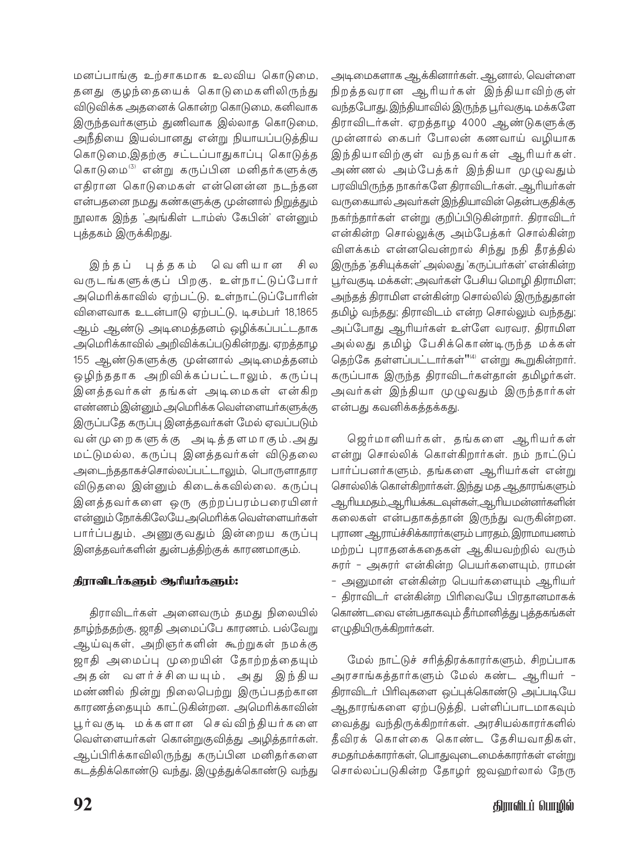மனப்பாங்கு உற்சாகமாக உலவிய கொடுமை, தனது குழந்தையைக் கொடுமைகளிலிருந்து விடுவிக்க அதனைக் கொன்ற கொடுமை, கனிவாக இருந்தவர்களும் துணிவாக இல்லாத கொடுமை, அநீதியை இயல்பானது என்று நியாயப்படுத்திய கொடுமை,இதற்கு சட்டப்பாதுகாப்பு கொடுத்த கொடுமை<sup>3)</sup> என்று கருப்பின மனிதர்களுக்கு எதிரான கொடுமைகள் என்னென்ன நடந்தன என்பதனை நமது கண்களுக்கு முன்னால் நிறுத்தும் நூலாக இந்த 'அங்கிள் டாம்ஸ் கேபின்' என்னும் புத்தகம் இருக்கிறது.

இந்தப் புத்தகம் வெளியான சி ல வருடங்களுக்குப் பிறகு, உள்நாட்டுப்போர் அமெரிக்காவில் ஏற்பட்டு, உள்நாட்டுப்போரின் விளைவாக உடன்பாடு ஏற்பட்டு, டிசம்பர் 18,1865 ஆம் ஆண்டு அடிமைத்தனம் ஒழிக்கப்பட்டதாக அமெரிக்காவில் அறிவிக்கப்படுகின்றது. ஏறத்தாழ .<br>155 ஆண்டுகளுக்கு முன்னால் அடிமைத்தனம் ஒழிந்ததாக அறிவிக்கப்பட்டாலும், கருப்பு இனத்தவர்கள் தங்கள் அடிமைகள் என்கிற எண்ணம் இன்னும் அமெரிக்க வெள்ளையா்களுக்கு இருப்பதே கருப்பு இனத்தவர்கள் மேல் ஏவப்படும் வன்முறைகளுக்கு அடித்தளமாகும்.அது மட்டுமல்ல, கருப்பு இனத்தவர்கள் விடுதலை அடைந்ததாகச்சொல்லப்பட்டாலும், பொருளாதார விடுதலை இன்னும் கிடைக்கவில்லை. கருப்பு இனத்தவர்களை ஒரு குற்றப்பரம்பரையினர் என்னும் நோக்கிலேயே அமெரிக்க வெள்ளையர்கள் பார்ப்பதும், அணுகுவதும் இன்றைய கருப்பு இனத்தவர்களின் துன்பத்திற்குக் காரணமாகும்.

# திராவிடர்களும் ஆரியர்களும்:

திராவிடர்கள் அனைவரும் தமது நிலையில் தாழ்ந்ததற்கு, ஜாதி அமைப்பே காரணம். பல்வேறு ஆய்வுகள், அறிஞர்களின் கூற்றுகள் நமக்கு ஜாதி அமைப்பு முறையின் தோற்றத்தையும் அதன் வளர்ச்சியையும், அது இந்திய மண்ணில் நின்று நிலைபெற்று இருப்பதற்கான காரணத்தையும் காட்டுகின்றன. அமெரிக்காவின் பூர்வகுடி மக்களான செவ்விந்தியர்களை வெள்ளையர்கள் கொன்றுகுவித்து அழித்தார்கள். ஆப்பிரிக்காவிலிருந்து கருப்பின மனிதர்களை கடத்திக்கொண்டு வந்து, இழுத்துக்கொண்டு வந்து

அடிமைகளாக ஆக்கினார்கள். ஆனால், வெள்ளை நிறத்தவரான ஆரியர்கள் இந்தியாவிற்குள் வந்தபோது, இந்தியாவில் இருந்த பூர்வகுடி மக்களே திராவிடர்கள். ஏறத்தாழ 4000 ஆண்டுகளுக்கு .<br>முன்னால் கைபர் போலன் கணவாய் வழியாக இந்தியாவிற்குள் வந்தவர்கள் ஆரியர்கள். அண்ணல் அம்பேத்கர் இந்தியா முழுவதும் பரவியிருந்த நாகர்களே திராவிடர்கள். ஆரியர்கள் வருகையால் அவர்கள் இந்தியாவின் தென்பகுதிக்கு நகர்ந்தார்கள் என்று குறிப்பிடுகின்றார். திராவிடர் என்கின்ற சொல்லுக்கு அம்பேத்கர் சொல்கின்ற விளக்கம் என்னவென்றால் சிந்து நதி தீரத்தில் இருந்த 'தசியுக்கள்' அல்லது 'கருப்பா்கள்' என்கின்ற பூர்வகுடி மக்கள்; அவர்கள் பேசிய மொழி திராமிள; அந்தத் திராமிள என்கின்ற சொல்லில் இருந்துதான் தமிழ் வந்தது; திராவிடம் என்ற சொல்லும் வந்தது; அப்போது ஆரியர்கள் உள்ளே வரவர, திராமிள அல்லது தமிழ் பேசிக்கொண்டிருந்த மக்கள் தெற்கே தள்ளப்பட்டார்கள்"<sup>(4)</sup> என்று கூறுகின்றார். .<br>கருப்பாக இருந்த திராவிடர்கள்தான் தமிழர்கள். அவர்கள் இந்தியா முழுவதும் இருந்தார்கள் என்பது கவனிக்கத்தக்கது.

ஜெர்மானியர்கள், தங்களை ஆரியர்கள் என்று சொல்லிக் கொள்கிறார்கள். நம் நாட்டுப் பார்ப்பனர்களும், தங்களை ஆரியர்கள் என்று சொல்லிக் கொள்கிறார்கள். இந்து மத ஆதாரங்களும் ஆரியமதம்,ஆரியக்கடவுள்கள்,ஆரியமன்னர்களின் கலைகள் என்பதாகத்தான் இருந்து வருகின்றன. புராண ஆராய்ச்சிக்காரா்களும் பாரதம், இராமாயணம் மற்றப் புராதனக்கதைகள் ஆகியவற்றில் வரும் சுரர் – அசுரர் என்கின்ற பெயர்களையும், ராமன் – அனுமான் என்கின்ற பெயர்களையும் ஆரியர் – திராவிடர் என்கின்ற பிரிவையே பிரதானமாகக் கொண்டவை என்பதாகவும் தீர்மானித்து புத்தகங்கள் எழுதியிருக்கிறார்கள்.

மேல் நாட்டுச் சரித்திரக்காரர்களும், சிறப்பாக அரசாங்கத்தார்களும் மேல் கண்ட ஆரியர் -திராவிடா் பிாிவுகளை ஒப்புக்கொண்டு அப்படியே ஆதாரங்களை ஏற்படுத்தி, பள்ளிப்பாடமாகவும் வைத்து வந்திருக்கிறார்கள். அரசியல்காரர்களில் தீவிரக் கொள்கை கொண்ட தேசியவாதிகள், சமதா்மக்காரா்கள், பொதுவுடைமைக்காரா்கள் என்று சொல்லப்படுகின்ற தோழர் ஜவஹர்லால் நேரு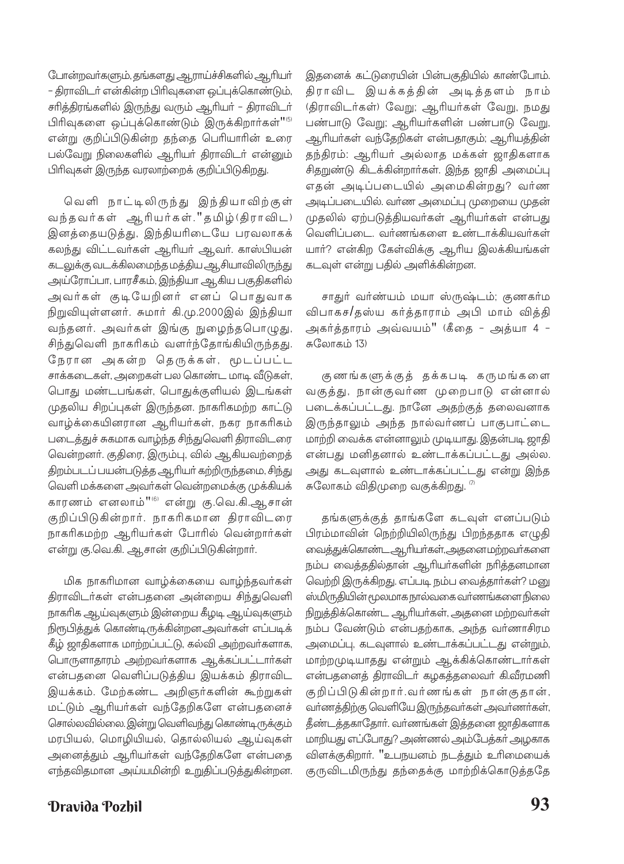போன்றவர்களும், தங்களது ஆராய்ச்சிகளில் ஆரியர் – திராவிடர் என்கின்ற பிரிவுகளை ஒப்புக்கொண்டும், சரித்திரங்களில் இருந்து வரும் ஆரியர் – திராவிடர் பிரிவுகளை ஒப்புக்கொண்டும் இருக்கிறார்கள்" என்று குறிப்பிடுகின்ற தந்தை பெரியாரின் உரை பல்வேறு நிலைகளில் ஆரியர் திராவிடர் என்னும் பிரிவுகள் இருந்த வரலாற்றைக் குறிப்பிடுகிறது.

வெளி நாட்டிலிருந்து இந்தியாவிற்குள் வந்தவர்கள் ஆரியர்கள்."தமிழ்(திராவிட) இனத்தையடுத்து, இந்தியரிடையே பரவலாகக் கலந்து விட்டவா்கள் ஆரியா் ஆவா். காஸ்பியன் கடலுக்கு வடக்கிலமைந்த மத்திய ஆசியாவிலிருந்து அய்ரோப்பா, பாரசீகம், இந்தியா ஆகிய பகுதிகளில் அவர்கள் குடியேறினர் எனப் பொதுவாக நிறுவியுள்ளனர். சுமார் கி.மு.2000இல் இந்தியா வந்தனர். அவர்கள் இங்கு நுழைந்தபொழுது, சிந்துவெளி நாகரிகம் வளர்ந்தோங்கியிருந்தது. நேரான அகன்ற தெருக்கள், மூடப்பட்ட சாக்கடைகள், அறைகள் பல கொண்ட மாடி வீடுகள், பொது மண்டபங்கள், பொதுக்குளியல் இடங்கள் முதலிய சிறப்புகள் இருந்தன. நாகரிகமற்ற காட்டு வாழ்க்கையினரான ஆரியர்கள், நகர நாகரிகம் படைத்துச் சுகமாக வாழ்ந்த சிந்துவெளி திராவிடரை வென்றனர். குதிரை, இரும்பு, வில் ஆகியவற்றைத் திறம்படப் பயன்படுத்த ஆரியர் கற்றிருந்தமை, சிந்து வெளி மக்களை அவர்கள் வென்றமைக்கு முக்கியக் காரணம் எனலாம்"® என்று கு.வெ.கி.ஆசான் குறிப்பிடுகின்றார். நாகரிகமான திராவிடரை நாகரிகமற்ற ஆரியர்கள் போரில் வென்றார்கள் என்று கு.வெ.கி. ஆசான் குறிப்பிடுகின்றார்.

மிக நாகரிமான வாழ்க்கையை வாழ்ந்தவா்கள் திராவிடர்கள் என்பதனை அன்றைய சிந்துவெளி நாகரிக ஆய்வுகளும் இன்றைய கீழடி ஆய்வுகளும் நிரூபித்துக் கொண்டிருக்கின்றன.அவா்கள் எப்படிக் கீழ் ஜாதிகளாக மாற்றப்பட்டு, கல்வி அற்றவர்களாக, பொருளாதாரம் அற்றவர்களாக ஆக்கப்பட்டார்கள் என்பதனை வெளிப்படுத்திய இயக்கம் திராவிட இயக்கம். மேற்கண்ட அறிஞர்களின் கூற்றுகள் மட்டும் ஆரியர்கள் வந்தேறிகளே என்பதனைச் சொல்லவில்லை. இன்று வெளிவந்து கொண்டிருக்கும் மரபியல், மொழியியல், தொல்லியல் ஆய்வுகள் அனைத்தும் ஆரியர்கள் வந்தேறிகளே என்பதை எந்தவிதமான அய்யமின்றி உறுதிப்படுத்துகின்றன. இதனைக் கட்டுரையின் பின்பகுதியில் காண்போம். திராவிட இயக்கத்தின் அடித்தளம் நாம் (திராவிடர்கள்) வேறு; ஆரியர்கள் வேறு, நமது பண்பாடு வேறு; ஆரியர்களின் பண்பாடு வேறு, ஆரியா்கள் வந்தேறிகள் என்பதாகும்; ஆரியத்தின் தந்திரம்: ஆரியர் அல்லாத மக்கள் ஜாதிகளாக சிதறுண்டு கிடக்கின்றார்கள். இந்த ஜாதி அமைப்பு எதன் அடிப்படையில் அமைகின்றது? வர்ண அடிப்படையில். வர்ண அமைப்பு முறையை முதன் முதலில் ஏற்படுத்தியவர்கள் ஆரியர்கள் என்பது வெளிப்படை. வர்ணங்களை உண்டாக்கியவர்கள் யாா்? என்கிற கேள்விக்கு ஆாிய இலக்கியங்கள் கடவுள் என்று பதில் அளிக்கின்றன.

சாதுர் வர்ண்யம் மயா ஸ்ருஷ்டம்; குணகர்ம விபாகச/தஸ்ய கர்த்தாராம் அபி மாம் வித்தி அகர்த்தாரம் அவ்வயம்" (கீதை - அத்யா 4 -சுவோகம் 13)

குணங்களுக்குத் தக்கபடி கருமங்களை வகுத்து, நான்குவர்ண முறைபாடு என்னால் படைக்கப்பட்டது. நானே அதற்குத் தலைவனாக இருந்தாலும் அந்த நால்வர்ணப் பாகுபாட்டை மாற்றி வைக்க என்னாலும் முடியாது. இதன்படி ஜாதி என்பது மனிதனால் உண்டாக்கப்பட்டது அல்ல. அது கடவுளால் உண்டாக்கப்பட்டது என்று இந்த சுலோகம் விதிமுறை வகுக்கிறது. <sup>77</sup>

தங்களுக்குத் தாங்களே கடவுள் எனப்படும் பிரம்மாவின் நெற்றியிலிருந்து பிறந்ததாக எழுதி வைத்துக்கொண்ட ஆரியர்கள்,அதனைமற்றவர்களை நம்ப வைத்ததில்தான் ஆரியர்களின் நரித்தனமான வெற்றி இருக்கிறது. எப்படி நம்ப வைத்தார்கள்? மனு ஸ்மிருதியின் மூலமாக நால்வகை வா்ணங்களை நிலை நிறுத்திக்கொண்ட ஆரியர்கள், அதனை மற்றவர்கள் நம்ப வேண்டும் என்பதற்காக, அந்த வர்ணாசிரம அமைப்பு, கடவுளால் உண்டாக்கப்பட்டது என்றும், மாற்றமுடியாதது என்றும் ஆக்கிக்கொண்டார்கள் என்பதனைத் திராவிடர் கழகத்தலைவர் கி.வீரமணி குறிப்பிடுகின்றார்.வர்ணங்கள் நான்குதான், வா்ணத்திற்கு வெளியே இருந்தவா்கள் அவா்ணா்கள், தீண்டத்தகாதோா். வா்ணங்கள் இத்தனை ஜாதிகளாக மாறியது எப்போது? அண்ணல் அம்பேத்கர் அழகாக விளக்குகிறார். "உபநயனம் நடத்தும் உரிமையைக் குருவிடமிருந்து தந்தைக்கு மாற்றிக்கொடுத்ததே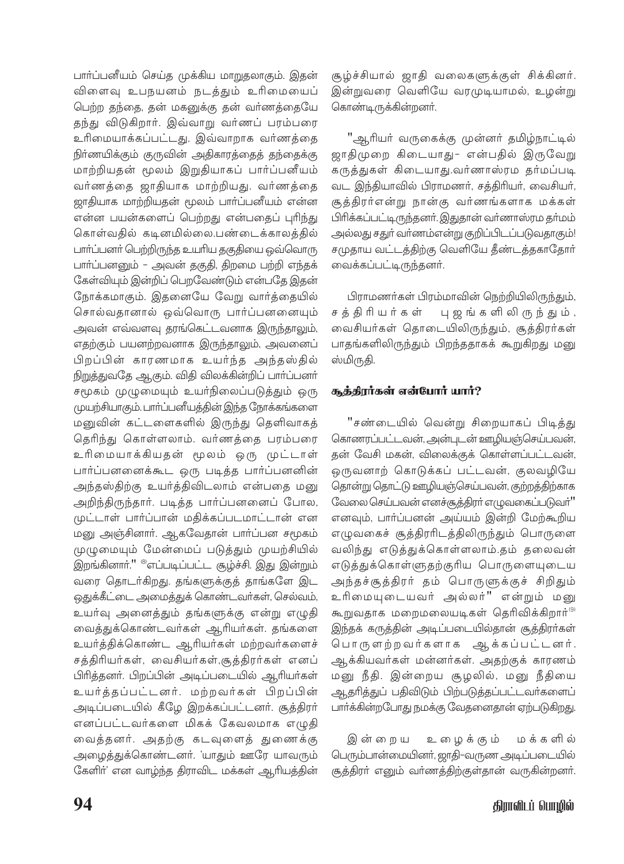பாா்ப்பனீயம் செய்த முக்கிய மாறுதலாகும். இதன் விளைவு உபநயனம் நடத்தும் உரிமையைப் .<br>பெற்ற தந்தை, தன் மகனுக்கு தன் வர்ணத்தையே தந்து விடுகிறார். இவ்வாறு வர்ணப் பரம்பரை உரிமையாக்கப்பட்டது. இவ்வாறாக வர்ணத்தை .<br>நிா்ணயிக்கும் குருவின் அதிகாரத்தைத் தந்தைக்கு .<br>மாற்றியதன் மூலம் இறுதியாகப் பார்ப்பனீயம் வர்ணத்தை ஜாதியாக மாற்றியது. வர்ணத்தை ஜாதியாக மாற்றியதன் மூலம் பாா்ப்பனீயம் என்ன என்ன பயன்களைப் பெற்றது என்பதைப் புரிந்து கொள்வகில் கடினமில்லை.பண்டைக்காலக்கில் பாா்ப்பனா் பெற்றிருந்த உயாிய தகுதியை ஒவ்வொரு .<br>பாா்ப்பனனும் – அவன் தகுதி, திறமை பற்றி எந்கக் கேள்வியும் இன்றிப் பெறவேண்டும் என்பதே இதன் நோக்கமாகும். இதனையே வேறு வார்த்தையில் சொல்வதானால் ஒவ்வொரு பார்ப்பனனையும் .<br>அவன் எவ்வளவு தரங்கெட்டவனாக இருந்தாலும், எதற்கும் பயனற்றவனாக இருந்தாலும், அவனைப் .<br>பிறப்பின் காரணமாக உயர்ந்த அந்தஸ்தில் .<br>நிறுத்துவதே ஆகும். விதி விலக்கின்றிப் பாா்ப்பனா் .<br>சமூகம் முழுமையும் உயா்நிலைப்படுத்தும் ஒரு முயற்சியாகும். பாா்ப்பனீயத்தின் இந்த நோக்கங்களை மனுவின் கட்டளைகளில் இருந்து தெளிவாகத் தெரிந்து கொள்ளலாம். வர்ணத்தை பரம்பரை உரிமையாக்கியதன் மூலம் ஒரு முட்டாள் பார்ப்பனனைக்கூட ஒரு படித்த பார்ப்பனனின் அந்தஸ்திற்கு உயர்த்திவிடலாம் என்பதை மனு அறிந்திருந்தார். படித்த பார்ப்பனனைப் போல, முட்டாள் பார்ப்பான் மதிக்கப்படமாட்டான் என .<br>மனு அஞ்சினாா். ஆகவேதான் பாா்ப்பன சமூகம் முழுமையும் மேன்மைப் படுத்தும் முயற்சியில் .<br>இறங்கினாா்.'' <sup>இ</sup>எப்படிப்பட்ட சூழ்ச்சி. இது இன்றும் வரை தொடர்கிறது. தங்களுக்குத் தாங்களே இட .<br>ஒதுக்கீட்டை அமைத்துக் கொண்டவா்கள், செல்வம், உயர்வு அனைத்தும் தங்களுக்கு என்று எழுதி வைத்துக்கொண்டவர்கள் ஆரியர்கள். தங்களை உயர்த்திக்கொண்ட ஆரியர்கள் மற்றவர்களைச் .<br>சத்திரியர்கள், வைசியர்கள்,சூத்திரர்கள் எனப் .<br>பிரித்தனா். பிறப்பின் அடிப்படையில் ஆரியா்கள் உயர்த்தப்பட்டனர். மற்றவர்கள் பிறப்பின் அடிப்படையில் கீழே இறக்கப்பட்டனர். சூத்திரர் எனப்பட்டவர்களை மிகக் கேவலமாக எழுதி வைத்தனர். அதற்கு கடவுளைத் துணைக்கு .<br>அழைத்துக்கொண்டனர். 'யாதும் ஊரே யாவரும் கேளிா்' என வாழ்ந்த திராவிட மக்கள் ஆரியத்தின் சூழ்ச்சியால் ஜாதி வலைகளுக்குள் சிக்கினர். இன்றுவரை வெளியே வரமுடியாமல், உழன்று கொண்டிருக்கின்றனர்.

"ஆரியர் வருகைக்கு முன்னர் தமிழ்நாட்டில் ஜாதிமுறை கிடையாது- என்பதில் இருவேறு கருத்துகள் கிடையாது.வர்ணாஸ்ரம தர்மப்படி வட இந்தியாவில் பிராமணர், சத்திரியர், வைசியர், சூத்திரர்என்று நான்கு வர்ணங்களாக மக்கள் பிரிக்கப்பட்டிருந்தனர். இதுதான் வர்ணாஸ்ரம தர்மம் .<br>அல்லது சதுா் வாணம்என்று குறிப்பிடப்படுவதாகும்! சமுதாய வட்டத்திற்கு வெளியே தீண்டத்தகாதோர் வைக்கப்பட்டிருந்கனர்.

பிராமணர்கள் பிரம்மாவின் நெற்றியிலிருந்தும், சத்திரியர்கள் பு ஜங்களி லி ருந்தும், வைசியர்கள் தொடையிலிருந்தும், சூத்திரர்கள் பாதங்களிலிருந்தும் பிறந்ததாகக் கூறுகிறது மனு ஸ்மிருகி.

## சூத்திரர்கள் என்போர் யார்?

"சண்டையில் வென்று சிறையாகப் பிடித்து கொணரப்பட்டவன், அன்புடன் ஊழியஞ்செய்பவன், தன் வேசி மகன், விலைக்குக் கொள்ளப்பட்டவன், ஒருவனாற் கொடுக்கப் பட்டவன், குலவழியே தொன்று தொட்டு ஊழியஞ்செய்பவன், குற்றத்திற்காக வேலை செய்பவன் எனச்சூத்திரர் எழுவகைப்படுவர்" எனவும், பார்ப்பனன் அய்யம் இன்றி மேற்கூறிய எழுவகைச் சூத்திரரிடத்திலிருந்தும் பொருளை வலிந்து எடுத்துக்கொள்ளலாம்.தம் தலைவன் .<br>எடுக்துக்கொள்ளுதற்குரிய பொருளையுடைய அந்தச்சூத்திரர் தம் பொருளுக்குச் சிறிதும் உரிமையுடையவர் அல்லர்" என்றும் மனு கூறுவதாக மறைமலையடிகள் தெரிவிக்கிறார்<sup>(9)</sup> .<br>இந்தக் கருத்தின் அடிப்படையில்தான் சூத்திரா்கள் பொருளற்றவர்களாக ஆக்கப்பட்டனர். ஆக்கியவர்கள் மன்னர்கள். அதற்குக் காரணம் மனு நீதி. இன்றைய சூழலில், மனு நீதியை .<br>ஆதரித்துப் பதிவிடும் பிற்படுத்தப்பட்டவா்களைப் பார்க்கின்றபோது நமக்கு வேதனைதான் ஏற்படுகிறது.

உழைக்கும் மக்களில் இன்றைய பெரும்பான்மையினர், ஜாதி–வருண அடிப்படையில் சூத்திரா் எனும் வா்ணத்திற்குள்தான் வருகின்றனா்.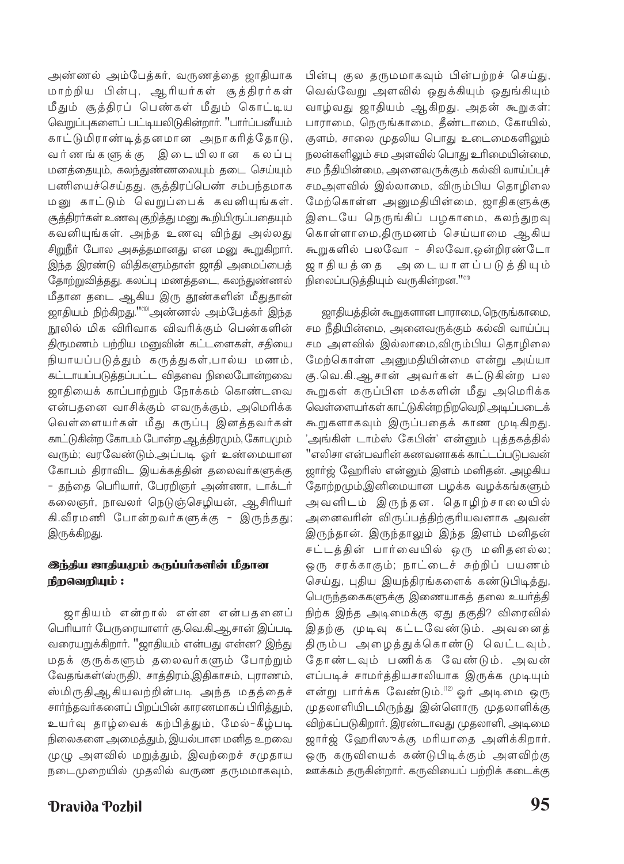அண்ணல் அம்பேத்கர், வருணத்தை ஜாதியாக மாற்றிய பின்பு, ஆரியர்கள் சூத்திரர்கள் மீதும் சூத்திரப் பெண்கள் மீதும் கொட்டிய வெறுப்புகளைப் பட்டியலிடுகின்றார். "பார்ப்பனீயம் காட்டுமிராண்டித்தனமான அநாகரித்தோடு, வர்ணங்களுக்கு இடையிலான கலப்பு மனத்தையும், கலந்துண்ணலையும் தடை செய்யும் பணியைச்செய்தது. சூத்திரப்பெண் சம்பந்தமாக மனு காட்டும் வெறுப்பைக் கவனியுங்கள். சூத்திரா்கள் உணவு குறித்து மனு கூறியிருப்பதையும் கவனியுங்கள். அந்த உணவு விந்து அல்லது சிறுநீர் போல அசுத்தமானது என மனு கூறுகிறார். இந்த இரண்டு விதிகளும்தான் ஜாதி அமைப்பைத் தோற்றுவித்தது. கலப்பு மணத்தடை, கலந்துண்ணல் மீதான தடை ஆகிய இரு தூண்களின் மீதுதான் .<br>ஜாதியம் நிற்கிறது."<sup>1100</sup>அண்ணல் அம்பேத்கா் இந்த நூலில் மிக விரிவாக விவரிக்கும் பெண்களின் திருமணம் பற்றிய மனுவின் கட்டளைகள், சதியை நியாயப்படுத்தும் கருத்துகள்,பால்ய மணம், கட்டாயப்படுத்தப்பட்ட விதவை நிலைபோன்றவை ஜாதியைக் காப்பாற்றும் நோக்கம் கொண்டவை என்பதனை வாசிக்கும் எவருக்கும், அமெரிக்க வெள்ளையர்கள் மீது கருப்பு இனத்தவர்கள் காட்டுகின்ற கோபம் போன்ற ஆத்திரமும், கோபமும் வரும்; வரவேண்டும்.அப்படி ஓர் உண்மையான கோபம் திராவிட இயக்கத்தின் தலைவர்களுக்கு - தந்தை பெரியார், பேரறிஞர் அண்ணா, டாக்டர் கலைஞர், நாவலர் நெடுஞ்செழியன், ஆசிரியர் கி.வீரமணி போன்றவர்களுக்கு - இருந்தது; இருக்கிறது.

## **®ந்திய ஜாதியமும் கருப்பர்களின் மீதான** நிறவெறியும் :

ஜாதியம் என்றால் என்ன என்பதனைப் பெரியார் பேருரையாளர் கு.வெ.கி.ஆசான் இப்படி வரையறுக்கிறார். "ஜாதியம் என்பது என்ன? இந்து மதக் குருக்களும் தலைவர்களும் போற்றும் வேதங்கள்(ஸ்ருதி), சாத்திரம்,இதிகாசம், புராணம், ஸ்மிருதிஆகியவற்றின்படி அந்த மதத்தைச் சாா்ந்தவா்களைப் பிறப்பின் காரணமாகப் பிாித்தும், உயர்வு தாழ்வைக் கற்பித்தும், மேல்-கீழ்படி நிலைகளை அமைத்தும், இயல்பான மனித உறவை முழு அளவில் மறுத்தும், இவற்றைச் சமுதாய நடைமுறையில் முதலில் வருண தருமமாகவும்,

**Dravida Pozhil** 

பின்பு குல தருமமாகவும் பின்பற்றச் செய்து, வெவ்வேறு அளவில் ஒதுக்கியும் ஒதுங்கியும் வாழ்வது ஜாதியம் ஆகிறது. அதன் கூறுகள்: பாராமை, நெருங்காமை, தீண்டாமை, கோயில், குளம், சாலை முதலிய பொது உடைமைகளிலும் நலன்களிலும் சம அளவில் பொது உரிமையின்மை, சம நீதியின்மை, அனைவருக்கும் கல்வி வாய்ப்புச் சமஅளவில் இல்லாமை, விரும்பிய தொழிலை மேற்கொள்ள அனுமதியின்மை, ஜாதிகளுக்கு இடையே நெருங்கிப் பழகாமை, கலந்துறவு கொள்ளாமை,திருமணம் செய்யாமை ஆகிய கூறுகளில் பலவோ - சிலவோ,ஒன்றிரண்டோ ஜாகியக்கை அடையாளப்படுக்கியும் நிலைப்படுத்தியும் வருகின்றன."(11)

ஜாதியத்தின் கூறுகளான பாராமை, நெருங்காமை, சம நீதியின்மை, அனைவருக்கும் கல்வி வாய்ப்பு சம அளவில் இல்லாமை,விரும்பிய தொழிலை மேற்கொள்ள அனுமதியின்மை என்று அய்யா கு.வெ.கி.ஆசான் அவர்கள் சுட்டுகின்ற பல கூறுகள் கருப்பின மக்களின் மீது அமெரிக்க வெள்ளையர்கள் காட்டுகின்ற நிறவெறி அடிப்படைக் கூறுகளாகவும் இருப்பதைக் காண முடிகிறது. 'அங்கிள் டாம்ஸ் கேபின்' என்னும் புத்தகத்தில் ''எலிசா என்பவரின் கணவனாகக் காட்டப்படுபவன் ஜார்ஜ் ஹேரிஸ் என்னும் இளம் மனிதன். அழகிய தோற்றமும்,இனிமையான பழக்க வழக்கங்களும் அவனிடம் இருந்தன. தொழிற்சாலையில் அனைவரின் விருப்பத்திற்குரியவனாக அவன் இருந்தான். இருந்தாலும் இந்த இளம் மனிதன் சட்டத்தின் பார்வையில் ஒரு மனிதனல்ல; ஒரு சரக்காகும்; நாட்டைச் சுற்றிப் பயணம் செய்து, புதிய இயந்திரங்களைக் கண்டுபிடித்து, பெருந்தகைகளுக்கு இணையாகத் தலை உயர்த்தி நிற்க இந்த அடிமைக்கு ஏது தகுதி? விரைவில் இதற்கு முடிவு கட்டவேண்டும். அவனைத் திரும்ப அழைத்துக்கொண்டு வெட்டவும், தோண்டவும் பணிக்க வேண்டும். அவன் எப்படிச் சாமர்த்தியசாலியாக இருக்க முடியும் என்று பார்க்க வேண்டும்.<sup>(12)</sup> ஓர் அடிமை ஒரு முதலாளியிடமிருந்து இன்னொரு முதலாளிக்கு விற்கப்படுகிறார். இரண்டாவது முதலாளி, அடிமை ஜார்ஜ் ஹேரிஸுக்கு மரியாதை அளிக்கிறார். ஒரு கருவியைக் கண்டுபிடிக்கும் அளவிற்கு ஊக்கம் தருகின்றார். கருவியைப் பற்றிக் கடைக்கு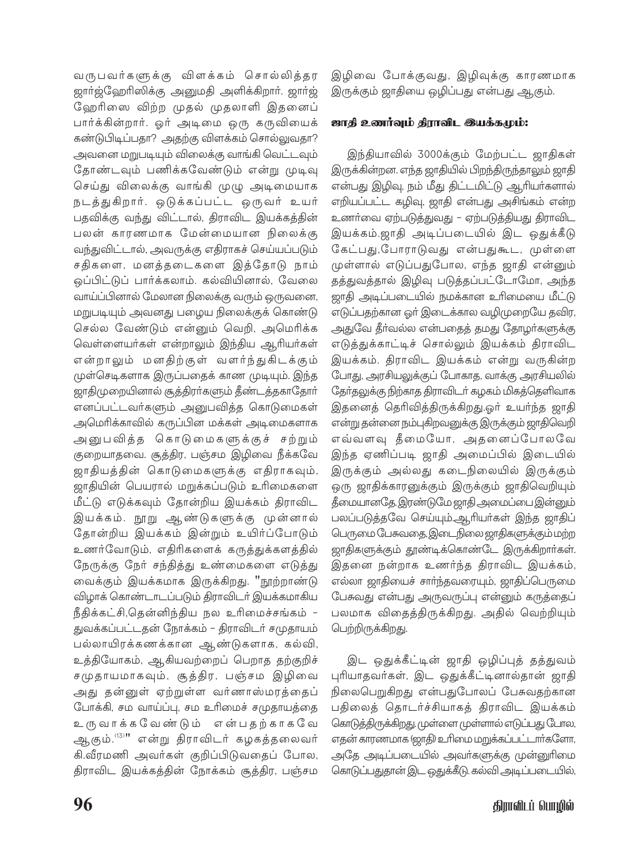வருபவர்களுக்கு விளக்கம் சொல்லித்தர ஜாா்ஜ்ஹேரிஸிக்கு அனுமதி அளிக்கிறாா். ஜாா்ஜ் ஹேரிஸை விற்ற முதல் முதலாளி இதனைப் பார்க்கின்றார். ஒர் அடிமை ஒரு கருவியைக் கண்டுபிடிப்பதா? அதற்கு விளக்கம் சொல்லுவதா? அவனை மறுபடியும் விலைக்கு வாங்கி வெட்டவும் தோண்டவும் பணிக்கவேண்டும் என்று முடிவு செய்து விலைக்கு வாங்கி முழு அடிமையாக நடத்துகிறார். ஒடுக்கப்பட்ட ஒருவர் உயர் பதவிக்கு வந்து விட்டால், திராவிட இயக்கத்தின் பலன் காரணமாக மேன்மையான நிலைக்கு வந்துவிட்டால், அவருக்கு எதிராகச் செய்யப்படும் சதிகளை, மனத்தடைகளை இத்தோடு நாம் ஒப்பிட்டுப் பார்க்கலாம். கல்வியினால், வேலை வாய்ப்பினால் மேலான நிலைக்கு வரும் ஒருவனை, மறுபடியும் அவனது பழைய நிலைக்குக் கொண்டு செல்ல வேண்டும் என்னும் வெறி, அமெரிக்க வெள்ளையா்கள் என்றாலும் இந்திய ஆரியா்கள் என்றாலும் மனதிற்குள் வளர்ந்துகிடக்கும் முள்செடிகளாக இருப்பதைக் காண முடியும். இந்த ஜாதிமுறையினால் சூத்திரா்களும் தீண்டத்தகாதோா் எனப்பட்டவர்களும் அனுபவித்த கொடுமைகள் அமெரிக்காவில் கருப்பின மக்கள் அடிமைகளாக அனுபவித்த கொடுமைகளுக்குச் சற்றும் குறையாதவை. சூத்திர, பஞ்சம இழிவை நீக்கவே ு<br>ஜாதியத்தின் கொடுமைகளுக்கு எதிராகவும், ஜாதியின் பெயரால் மறுக்கப்படும் உரிமைகளை ு.<br>மீட்டு எடுக்கவும் தோன்றிய இயக்கம் திராவிட இயக்கம். நூறு ஆண்டுகளுக்கு முன்னால் தோன்றிய இயக்கம் இன்றும் உயிர்ப்போடும் உணர்வோடும், எதிரிகளைக் கருத்துக்களத்தில் நேருக்கு நேர் சந்தித்து உண்மைகளை எடுத்து வைக்கும் இயக்கமாக இருக்கிறது. "நூற்றாண்டு விழாக் கொண்டாடப்படும் திராவிடர் இயக்கமாகிய நீதிக்கட்சி,தென்னிந்திய நல உரிமைச்சங்கம் -துவக்கப்பட்டதன் நோக்கம் - திராவிடர் சமுதாயம் பல்லாயிரக்கணக்கான ஆண்டுகளாக, கல்வி, உத்தியோகம், ஆகியவற்றைப் பெறாத தற்குறிச் சமுதாயமாகவும், சூத்திர, பஞ்சம இழிவை .<br>அது தன்னுள் ஏற்றுள்ள வர்ணாஸ்மரத்தைப் போக்கி, சம வாய்ப்பு, சம உரிமைச் சமுதாயத்தை உருவாக்கவேண்டும் என்பதற்காகவே ஆகும்.'<sup>13)</sup>" என்று திராவிடர் கழகத்தலைவர் கி.வீரமணி அவர்கள் குறிப்பிடுவதைப் போல, திராவிட இயக்கத்தின் நோக்கம் சூத்திர, பஞ்சம இழிவை போக்குவது, இழிவுக்கு காரணமாக இருக்கும் ஜாதியை ஒழிப்பது என்பது ஆகும்.

## ஜாதி உணர்வும் திராவிட இயக்கமும்:

இந்தியாவில் 3000க்கும் மேற்பட்ட ஜாதிகள் இருக்கின்றன. எந்த ஜாதியில் பிறந்திருந்தாலும் ஜாதி என்பது இழிவு, நம் மீது திட்டமிட்டு ஆரியர்களால் எறியப்பட்ட கழிவு, ஜாதி என்பது அசிங்கம் என்ற உணர்வை ஏற்படுத்துவது - ஏற்படுத்தியது திராவிட இயக்கம்.ஜாதி அடிப்படையில் இட ஒதுக்கீடு கேட்பது,போராடுவது என்பதுகூட, முள்ளை முள்ளால் எடுப்பதுபோல, எந்த ஜாதி என்னும் தத்துவத்தால் இழிவு படுத்தப்பட்டோமோ, அந்த ஜாதி அடிப்படையில் நமக்கான உரிமையை மீட்டு எடுப்பதற்கான ஓர் இடைக்கால வழிமுறையே தவிர, அதுவே தீர்வல்ல என்பதைத் தமது தோழர்களுக்கு எடுத்துக்காட்டிச் சொல்லும் இயக்கம் திராவிட இயக்கம். திராவிட இயக்கம் என்று வருகின்ற போது, அரசியலுக்குப் போகாத, வாக்கு அரசியலில் தேர்தலுக்கு நிற்காத திராவிடர் கழகம் மிகத்தெளிவாக இதனைத் தெரிவித்திருக்கிறது.ஓர் உயர்ந்த ஜாதி என்று தன்னை நம்புகிறவனுக்கு இருக்கும் ஜாதிவெறி எவ்வளவு தீமையோ, அதனைப்போலவே இந்த ஏணிப்படி ஜாதி அமைப்பில் இடையில் இருக்கும் அல்லது கடைநிலையில் இருக்கும் ஒரு ஜாதிக்காரனுக்கும் இருக்கும் ஜாதிவெறியும் .<br>தீமையானதே இரண்டுமே ஜாதி அமைப்பை இன்னும் பலப்படுத்தவே செய்யும்.ஆரியர்கள் இந்த ஜாதிப் பெருமை பேசுவதை, இடைநிலை ஜாதிகளுக்கும் மற்ற ஜாதிகளுக்கும் தூண்டிக்கொண்டே இருக்கிறார்கள். இதனை நன்றாக உணர்ந்த திராவிட இயக்கம், எல்லா ஜாதியைச் சாா்ந்தவரையும், ஜாதிப்பெருமை பேசுவது என்பது அருவருப்பு என்னும் கருத்தைப் பலமாக விதைத்திருக்கிறது. அதில் வெற்றியும் பெற்றிருக்கிறது.

இட ஒதுக்கீட்டின் ஜாதி ஒழிப்புத் தத்துவம் புரியாதவர்கள், இட ஒதுக்கீட்டினால்தான் ஜாதி நிலைபெறுகிறது என்பதுபோலப் பேசுவதற்கான பதிலைத் தொடர்ச்சியாகத் திராவிட இயக்கம் கொடுத்திருக்கிறது. முள்ளை முள்ளால் எடுப்பது போல, எதன் காரணமாக (ஜாதி) உரிமை மறுக்கப்பட்டார்களோ, அதே அடிப்படையில் அவர்களுக்கு முன்னுரிமை கொடுப்பதுதான் இட ஒதுக்கீடு. கல்வி அடிப்படையில்,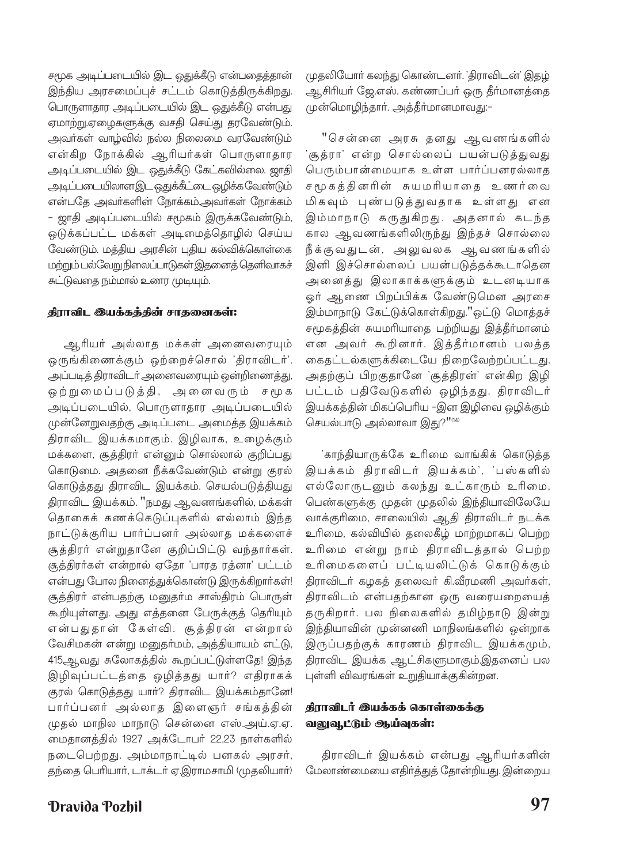சமூக அடிப்படையில் இட ஒதுக்கீடு என்பதைத்தான் இந்திய அரசமைப்புச் சட்டம் கொடுத்திருக்கிறது. பொருளாதார அடிப்படையில் இட ஒதுக்கீடு என்பது ஏமாற்று.ஏழைகளுக்கு வசதி செய்து தரவேண்டும். அவர்கள் வாழ்வில் நல்ல நிலைமை வரவேண்டும் என்கிற நோக்கில் ஆரியர்கள் பொருளாதார அடிப்படையில் இட ஒதுக்கீடு கேட்கவில்லை. ஜாதி <u>அடிப்படையிலானஇட ஒதுக்கீட்டை ஒழிக்க வேண்டும்</u> என்பதே அவர்களின் நோக்கம்அவர்கள் நோக்கம் – ஜாதி அடிப்படையில் சமூகம் இருக்கவேண்டும், ஒடுக்கப்பட்ட மக்கள் அடிமைத்தொழில் செய்ய வேண்டும். மத்திய அரசின் புதிய கல்விக்கொள்கை மற்றும் பல்வேறு நிலைப்பாடுகள் இதனைக் கெளிவாகச் சுட்டுவதை நம்மால் உணர முடியும்.

#### திராவிட இயக்கத்தின் சாதனைகள்:

ஆரியர் அல்லாத மக்கள் அனைவரையும் ஒருங்கிணைக்கும் ஒற்றைச்சொல் 'திராவிடர்'. அப்படித் திராவிடர் அனைவரையும் ஒன்றிணைத்து, ஒற்றுமைப்படுத்தி, அனைவரும் சமூக அடிப்படையில், பொருளாதார அடிப்படையில் முன்னேறுவதற்கு அடிப்படை அமைத்த இயக்கம் திராவிட இயக்கமாகும். இழிவாக, உழைக்கும் மக்களை, சூத்திரா் என்னும் சொல்லால் குறிப்பது கொடுமை. அதனை நீக்கவேண்டும் என்று குரல் கொடுத்தது திராவிட இயக்கம். செயல்படுத்தியது திராவிட இயக்கம். "நமது ஆவணங்களில், மக்கள் தொகைக் கணக்கெடுப்புகளில் எல்லாம் இந்த நாட்டுக்குரிய பார்ப்பனர் அல்லாத மக்களைச் சூத்திரர் என்றுதானே குறிப்பிட்டு வந்தார்கள். சூத்திரர்கள் என்றால் ஏதோ 'பாரத ரத்னா' பட்டம் என்பது போல நினைத்துக்கொண்டு இருக்கிறார்கள்! சூத்திரா் என்பதற்கு மனுதா்ம சாஸ்திரம் பொருள் கூறியுள்ளது. அது எத்தனை பேருக்குத் தெரியும் என்பதுதான் கேள்வி. சூத்திரன் என்றால் வேசிமகன் என்று மனுதர்மம், அத்தியாயம் எட்டு, 415ஆவது சுலோகத்தில் கூறப்பட்டுள்ளதே! இந்த இழிவுப்பட்டத்தை ஒழித்தது யார்? எதிராகக் குரல் கொடுத்தது யார்? திராவிட இயக்கம்தானே! பார்ப்பனர் அல்லாத இளைஞர் சங்கத்தின் முதல் மாநில மாநாடு சென்னை எஸ்.அய்.ஏ.ஏ. மைதானத்தில் 1927 அக்டோபர் 22,23 நாள்களில் நடைபெற்றது. அம்மாநாட்டில் பனகல் அரசர், தந்தை பெரியார், டாக்டர் ஏ.இராமசாமி (முதலியார்) முதலியோர் கலந்து கொண்டனர். 'திராவிடன்' இதழ் ஆசிரியர் ஜே.எஸ். கண்ணப்பர் ஒரு தீர்மானத்தை முன்மொழிந்தார். அத்தீர்மானமாவது:–

"சென்னை அரசு தனது ஆவணங்களில் 'சூத்ரா' என்ற சொல்லைப் பயன்படுத்துவது பெரும்பான்மையாக உள்ள பார்ப்பனரல்லாத சமூகத்தினரின் சுயமரியாதை உணர்வை மிகவும் புண்படுத்துவதாக உள்ளது என இம்மாநாடு கருதுகிறது. அதனால் கடந்த கால ஆவணங்களிலிருந்து இந்தச் சொல்லை நீக்குவதுடன், அலுவலக ஆவணங்களில் இனி இச்சொல்லைப் பயன்படுத்தக்கூடாதென அனைத்து இலாகாக்களுக்கும் உடனடியாக ஓர் ஆணை பிறப்பிக்க வேண்டுமென அரசை இம்மாநாடு கேட்டுக்கொள்கிறது."ஓட்டு மொத்தச் சமூகத்தின் சுயமரியாதை பற்றியது இத்தீர்மானம் என அவர் கூறினார். இத்தீர்மானம் பலத்த கைதட்டல்களுக்கிடையே நிறைவேற்றப்பட்டது. அதற்குப் பிறகுதானே 'சூத்திரன்' என்கிற இழி பட்டம் பதிவேடுகளில் ஒழிந்தது. திராவிடர் இயக்கத்தின் மிகப்பெரிய –இன இழிவை ஒழிக்கும் செயல்பாடு அல்லாவா இது?"(14)

'காந்தியாருக்கே உரிமை வாங்கிக் கொடுத்த இயக்கம் திராவிடர் இயக்கம்', 'பஸ்களில் எல்லோருடனும் கலந்து உட்காரும் உரிமை, பெண்களுக்கு முதன் முதலில் இந்தியாவிலேயே வாக்குரிமை, சாலையில் ஆதி திராவிடர் நடக்க உரிமை, கல்வியில் தலைகீழ் மாற்றமாகப் பெற்ற உரிமை என்று நாம் திராவிடத்தால் பெற்ற உரிமைகளைப் பட்டியலிட்டுக் கொடுக்கும் திராவிடர் கழகத் தலைவர் கி.வீரமணி அவர்கள், திராவிடம் என்பதற்கான ஒரு வரையறையைத் தருகிறார். பல நிலைகளில் தமிழ்நாடு இன்று இந்தியாவின் முன்னணி மாநிலங்களில் ஒன்றாக இருப்பதற்குக் காரணம் திராவிட இயக்கமும், திராவிட இயக்க ஆட்சிகளுமாகும்.இதனைப் பல புள்ளி விவரங்கள் உறுதியாக்குகின்றன.

# திராவிடர் இயக்கக் கொள்கைக்கு வலுவூட்டும் ஆய்வுகள்:

திராவிடர் இயக்கம் என்பது ஆரியர்களின் மேலாண்மையை எதிர்த்துத் தோன்றியது. இன்றைய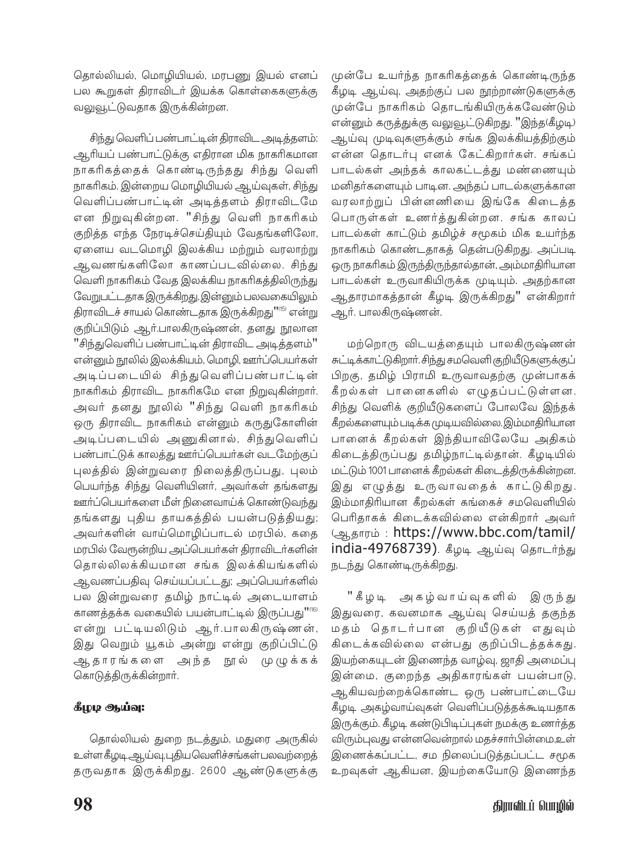தொல்லியல், மொழியியல், மரபணு இயல் எனப் பல கூறுகள் திராவிடர் இயக்க கொள்கைகளுக்கு வலுவூட்டுவதாக இருக்கின்றன.

சிந்து வெளிப் பண்பாட்டின் திராவிட அடித்தளம்: ஆரியப் பண்பாட்டுக்கு எதிரான மிக நாகரிகமான நாகரிகத்தைக் கொண்டிருந்தது சிந்து வெளி நாகரிகம். இன்றைய மொழியியல் ஆய்வுகள், சிந்து வெளிப்பண்பாட்டின் அடித்தளம் திராவிடமே என நிறுவுகின்றன. "சிந்து வெளி நாகரிகம் குறித்த எந்த நேரடிச்செய்தியும் வேதங்களிலோ, ஏனைய வடமொழி இலக்கிய மற்றும் வரலாற்று ஆவணங்களிலோ காணப்படவில்லை. சிந்து வெளி நாகரிகம் வேத இலக்கிய நாகரிகத்திலிருந்து வேறுபட்டதாக இருக்கிறது. இன்னும் பலவகையிலும் .<br>திராவிடச் சாயல் கொண்டதாக இருக்கிறது''<sup>(15)</sup> என்று குறிப்பிடும் ஆர்.பாலகிருஷ்ணன், தனது நூலான "சிந்துவெளிப் பண்பாட்டின் திராவிட அடித்தளம்" என்னும் நூலில் இலக்கியம், மொழி, ஊர்ப்பெயர்கள் அடிப்படையில் சிந்துவெளிப்பண்பாட்டின் நாகரிகம் திராவிட நாகரிகமே என நிறுவுகின்றார். அவர் தனது நூலில் "சிந்து வெளி நாகரிகம் ஒரு திராவிட நாகரிகம் என்னும் கருதுகோளின் அடிப்படையில் அணுகினால், சிந்துவெளிப் பண்பாட்டுக் காலத்து ஊர்ப்பெயர்கள் வடமேற்குப் புலத்தில் இன்றுவரை நிலைத்திருப்பது, புலம் பெயர்ந்த சிந்து வெளியினர், அவர்கள் தங்களது ஊர்ப்பெயர்களை மீள் நினைவாய்க் கொண்டுவந்து தங்களது புதிய தாயகத்தில் பயன்படுத்தியது; அவர்களின் வாய்மொழிப்பாடல் மரபில், கதை மரபில் வேரூன்றிய அப்பெயர்கள் திராவிடர்களின் தொல்லிலக்கியமான சங்க இலக்கியங்களில் ஆவணப்பதிவு செய்யப்பட்டது; அப்பெயர்களில் பல இன்றுவரை தமிழ் நாட்டில் அடையாளம் காணத்தக்க வகையில் பயன்பாட்டில் இருப்பது"" என்று பட்டியலிடும் ஆர்.பாலகிருஷ்ணன், இது வெறும் யூகம் அன்று என்று குறிப்பிட்டு ஆதாரங்களை அந்த நூல் முழுக்கக் கொடுத்திருக்கின்றார்.

# கீழழ ஆய்வு:

தொல்லியல் துறை நடத்தும், மதுரை அருகில் உள்ளகீழடி ஆய்வு,புதியவெளிச்சங்கள்பலவற்றைத் தருவதாக இருக்கிறது. 2600 ஆண்டுகளுக்கு முன்பே உயர்ந்த நாகரிகத்தைக் கொண்டிருந்த கீழடி ஆய்வு, அதற்குப் பல நூற்றாண்டுகளுக்கு முன்பே நாகரிகம் தொடங்கியிருக்கவேண்டும் .<br>என்னும் கருத்துக்கு வலுவூட்டுகிறது. "இந்த(கீழடி) ஆய்வு முடிவுகளுக்கும் சங்க இலக்கியத்திற்கும் என்ன தொடர்பு எனக் கேட்கிறார்கள். சங்கப் பாடல்கள் அந்தக் காலகட்டத்து மண்ணையும் மனிதர்களையும் பாடின. அந்தப் பாடல்களுக்கான வரலாற்றுப் பின்னணியை இங்கே கிடைத்த பொருள்கள் உணர்த்துகின்றன. சங்க காலப் பாடல்கள் காட்டும் தமிழ்ச் சமூகம் மிக உயர்ந்த நாகரிகம் கொண்டதாகத் தென்படுகிறது. அப்படி ஒரு நாகரிகம் இருந்திருந்தால்தான், அம்மாதிரியான பாடல்கள் உருவாகியிருக்க முடியும். அதற்கான ஆதாரமாகத்தான் கீழடி இருக்கிறது'' என்கிறார் ஆர். பாலகிருஷ்ணன்.

மற்றொரு விடயத்தையும் பாலகிருஷ்ணன் சுட்டிக்காட்டுகிறார். சிந்து சமவெளி குறியீடுகளுக்குப் .<br>பிறகு, தமிழ் பிராமி உருவாவதற்கு முன்பாகக் கீறல்கள் பானைகளில் எழுதப்பட்டுள்ளன. சிந்து வெளிக் குறியீடுகளைப் போலவே இந்தக் கீறல்களையும் படிக்க முடியவில்லை. இம்மாதிரியான பானைக் கீறல்கள் இந்தியாவிலேயே அதிகம் கிடைத்திருப்பது தமிழ்நாட்டில்தான். கீழடியில் மட்டும் 1001 பானைக் கீறல்கள் கிடைத்திருக்கின்றன. இது எழுத்து உருவாவதைக் காட்டுகிறது. இம்மாதிரியான கீறல்கள் கங்கைச் சமவெளியில் பெரிதாகக் கிடைக்கவில்லை என்கிறார் அவர் தோரம்: https://www.bbc.com/tamil/ india-49768739). கீழடி ஆய்வு கொடர்ந்து நடந்து கொண்டிருக்கிறது.

"கீழடி அகழ்வாய்வுகளில் இருந்து இதுவரை, கவனமாக ஆய்வு செய்யத் தகுந்த மதம் தொடர்பான குறியீடுகள் எதுவும் கிடைக்கவில்லை என்பது குறிப்பிடத்தக்கது. இயற்கையுடன் இணைந்த வாழ்வு, ஜாதி அமைப்பு .<br>இன்மை, குறைந்த அதிகாரங்கள் பயன்பாடு, ஆகியவற்றைக்கொண்ட ஒரு பண்பாட்டையே கீழடி அகழ்வாய்வுகள் வெளிப்படுத்தக்கூடியதாக இருக்கும். கீழடி கண்டுபிடிப்புகள் நமக்கு உணர்த்த விரும்புவது என்னவென்றால் மதச்சார்பின்மை,உள் இணைக்கப்பட்ட, சம நிலைப்படுத்தப்பட்ட சமூக உறவுகள் ஆகியன, இயற்கையோடு இணைந்த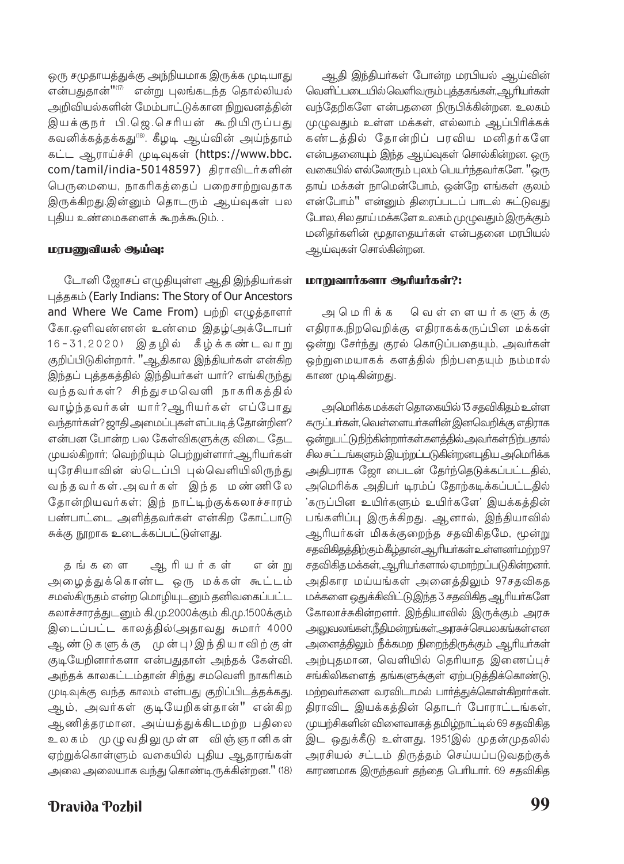ஒரு சமுதாயத்துக்கு அந்நியமாக இருக்க முடியாது என்பதுதான்" $^{\text{\tiny{(17)}}}$  என்று புலங்கடந்த தொல்லியல் அறிவியல்களின் மேம்பாட்டுக்கான நிறுவனத்தின் இயக்குநர் பி.ஜெ.செரியன் கூறியிருப்பது கவனிக்கத்தக்கது<sup>189</sup>. கீழடி ஆய்வின் அய்ந்தாம் கட்ட ஆராய்ச்சி முடிவுகள் (https://www.bbc. com/tamil/india-50148597) திராவிடர்களின் பெருமையை, நாகரிகத்தைப் பறைசாற்றுவதாக இருக்கிறது.இன்னும் தொடரும் ஆய்வுகள் பல புதிய உண்மைகளைக் கூறக்கூடும். .

## மரபணுவியல் ஆய்வு:

டோனி ஜோசப் எழுதியுள்ள ஆதி இந்தியர்கள் புத்தகம் (Early Indians: The Story of Our Ancestors and Where We Came From) பற்றி எழுத்தாளர் கோ.ஒளிவண்ணன் உண்மை இதழ்(அக்டோபர் 16-31,2020) இதழில் கீழ்க்கண்டவாறு குறிப்பிடுகின்றார். "ஆதிகால இந்தியர்கள் என்கிற இந்தப் புத்தகத்தில் இந்தியர்கள் யார்? எங்கிருந்து வந்தவர்கள்? சிந்துசமவெளி நாகரிகத்தில் வாழ்ந்தவர்கள் யார்?ஆரியர்கள் எப்போது வந்தார்கள்? ஜாதி அமைப்புகள் எப்படித் தோன்றின? என்பன போன்ற பல கேள்விகளுக்கு விடை தேட முயல்கிறார்; வெற்றியும் பெற்றுள்ளார்.ஆரியர்கள் யுரேசியாவின் ஸ்டெப்பி புல்வெளியிலிருந்து வந்தவர்கள்.அவர்கள் இந்த மண்ணிலே தோன்றியவர்கள்; இந் நாட்டிற்குக்கலாச்சாரம் பண்பாட்டை அளித்தவர்கள் என்கிற கோட்பாடு சுக்கு நூறாக உடைக்கப்பட்டுள்ளது.

தங்க ைள ஆரியர்கள் என்ற அழைத்துக்கொண்ட ஒரு மக்கள் கூட்டம் சமஸ்கிருதம் என்ற மொழியுடனும் தனிவகைப்பட்ட கலாச்சாரத்துடனும் கி.மு.2000க்கும் கி.மு.1500க்கும் இடைப்பட்ட காலத்தில்(அதாவது சுமார் 4000 ஆண்டுகளுக்கு முன்பு)இந்தியாவிற்குள் குடியேறினார்களா என்பதுதான் அந்தக் கேள்வி. அந்தக் காலகட்டம்தான் சிந்து சமவெளி நாகரிகம் முடிவுக்கு வந்த காலம் என்பது குறிப்பிடத்தக்கது. ஆம், அவர்கள் குடியேறிகள்தான்" என்கிற ஆணித்தரமான, அய்யத்துக்கிடமற்ற பதிலை உலகம் முழுவதிலுமுள்ள விஞ்ஞானிகள் ஏற்றுக்கொள்ளும் வகையில் புதிய ஆதாரங்கள் அலை அலையாக வந்து கொண்டிருக்கின்றன." (18)

Dravida Pozhil

ஆதி இந்தியர்கள் போன்ற மரபியல் ஆய்வின் வெளிப்படையில் வெளிவரும் புத்தகங்கள், ஆரியர்கள் வந்தேறிகளே என்பதனை நிருபிக்கின்றன. உலகம் முழுவதும் உள்ள மக்கள், எல்லாம் ஆப்பிரிக்கக் கண்டத்தில் தோன்றிப் பரவிய மனிதர்களே என்பதனையும் இந்த ஆய்வுகள் சொல்கின்றன. ஒரு வகையில் எல்லோரும் புலம் பெயர்ந்தவர்களே. "ஒரு தாய் மக்கள் நாமென்போம், ஒன்றே எங்கள் குலம் என்போம்'' என்னும் திரைப்படப் பாடல் சுட்டுவது போல, சில தாய் மக்களே உலகம் முழுவதும் இருக்கும் மனிதர்களின் மூதாதையர்கள் என்பதனை மரபியல் ஆய்வுகள் சொல்கின்றன.

## மாறுவார்களா ஆரியர்கள்?:

அமெரிக்க வெள்ளையர்களுக்கு எதிராக,நிறவெறிக்கு எதிராகக்கருப்பின மக்கள் ஒன்று சேர்ந்து குரல் கொடுப்பதையும், அவர்கள் ஒற்றுமையாகக் களத்தில் நிற்பதையும் நம்மால் காண முடிகின்றது.

அமெரிக்க மக்கள் தொகையில் 13 சதவிகிதம் உள்ள கருப்பர்கள், வெள்ளையர்களின் இனவெறிக்கு எதிராக ஒன்றுபட்டு நிற்கின்றார்கள்.களத்தில் அவர்கள் நிற்பதால் சில சட்டங்களும் இயற்றப்படுகின்றனபுதிய அமெரிக்க அதிபராக ஜோ பைடன் தேர்ந்தெடுக்கப்பட்டதில், அமெரிக்க அதிபர் டிரம்ப் தோற்கடிக்கப்பட்டதில் 'கருப்பின உயிர்களும் உயிர்களே' இயக்கத்தின் பங்களிப்பு இருக்கிறது. ஆனால், இந்தியாவில் ஆரியர்கள் மிகக்குறைந்த சதவிகிதமே, மூன்று சதவிகிதத்திற்கும் கீழ்தான்.ஆரியர்கள்உள்ளனர்.மற்ற 97 சதவிகித மக்கள், ஆரியர்களால் ஏமாற்றப்படுகின்றனர். அதிகார மய்யங்கள் அனைத்திலும் 97சதவிகத மக்களை ஒதுக்கிவிட்டு,இந்த 3 சதவிகித ஆரியா்களே கோலாச்சுகின்றனர். இந்தியாவில் இருக்கும் அரசு அலுவலங்கள்,நீதிமன்றங்கள், அரசுச் செயலகங்கள்என அனைத்திலும் நீக்கமற நிறைந்திருக்கும் ஆரியா்கள் அற்புதமான, வெளியில் தெரியாத இணைப்புச் சங்கிலிகளைத் தங்களுக்குள் ஏற்படுத்திக்கொண்டு, மற்றவா்களை வரவிடாமல் பாா்த்துக்கொள்கிறாா்கள். திராவிட இயக்கத்தின் தொடர் போராட்டங்கள், முயற்சிகளின் விளைவாகத் தமிழ்நாட்டில் 69 சதவிகித இட ஒதுக்கீடு உள்ளது. 1951இல் முதன்முதலில் அரசியல் சட்டம் திருத்தம் செய்யப்படுவதற்குக் காரணமாக இருந்தவா் தந்தை பெரியாா். 69 சதவிகித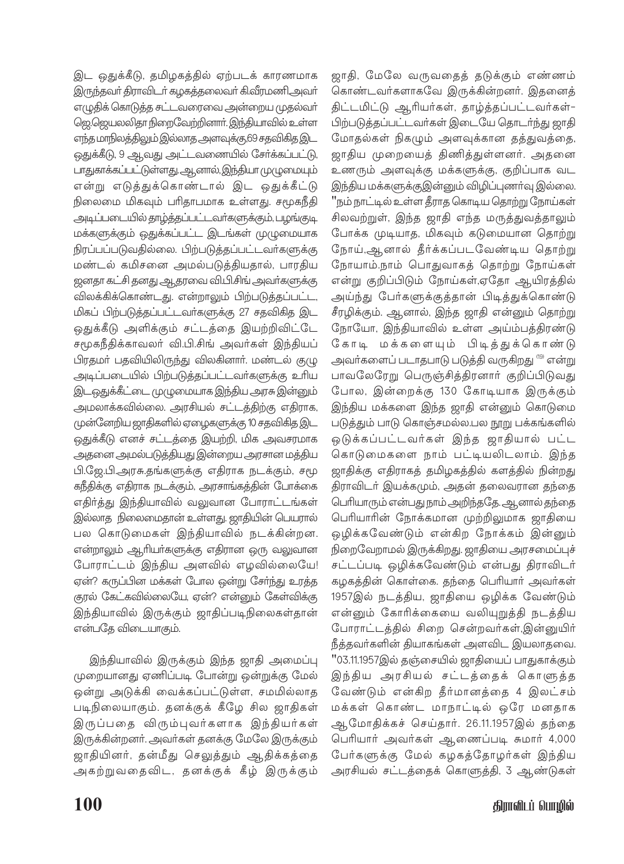இட ஒதுக்கீடு, தமிழகத்தில் ஏற்படக் காரணமாக இருந்தவர் திராவிடர் கழகத்தலைவர் கி.வீரமணிஅவர் .<br>எழுதிக் கொடுத்த சட்டவரைவை அன்றைய முதல்வா் ஜெ.ஜெயலலிதா நிறைவேற்றினார். இந்தியாவில் உள்ள ஒதுக்கீடு, 9 ஆவது அட்டவணையில் சேர்க்கப்பட்டு, பாதுகாக்கப்பட்டுள்ளது. ஆனால், இந்தியா முழுமையும் என்று எடுத்துக்கொண்டால் இட ஒதுக்கீட்டு நிலைமை மிகவும் பரிதாபமாக உள்ளது. சமூகநீதி அடிப்படையில் தாழ்த்தப்பட்டவர்களுக்கும், பழங்குடி மக்களுக்கும் ஒதுக்கப்பட்ட இடங்கள் முழுமையாக நிரப்பப்படுவதில்லை. பிற்படுத்தப்பட்டவர்களுக்கு மண்டல் கமிசனை அமல்படுத்தியதால், பாரதிய ஜனதா கட்சி தனது ஆதரவை வி.பி.சிங் அவர்களுக்கு விலக்கிக்கொண்டது. என்றாலும் பிற்படுத்தப்பட்ட, மிகப் பிற்படுத்தப்பட்டவர்களுக்கு 27 சதவிகித இட ஒதுக்கீடு அளிக்கும் சட்டத்தை இயற்றிவிட்டே சமூகநீதிக்காவலர் வி.பி.சிங் அவர்கள் இந்தியப் பிரதமா் பதவியிலிருந்து விலகினாா். மண்டல் குழு அடிப்படையில் பிற்படுத்தப்பட்டவர்களுக்கு உரிய இடஒதுக்கீட்டை முழுமையாக இந்திய அரசு இன்னும் அமலாக்கவில்லை. அரசியல் சட்டத்திற்கு எதிராக, முன்னேறிய ஜாதிகளில் ஏழைகளுக்கு 10 சதவிகித இட ஒதுக்கீடு எனச் சட்டத்தை இயற்றி, மிக அவசரமாக அதனை அமல்படுத்தியது இன்றைய அரசான மத்திய பி.ஜே.பி.அரசு.தங்களுக்கு எதிராக நடக்கும், சமூ கநீதிக்கு எதிராக நடக்கும், அரசாங்கத்தின் போக்கை எதிர்த்து இந்தியாவில் வலுவான போராட்டங்கள் இல்லாத நிலைமைதான் உள்ளது. ஜாதியின் பெயரால் பல கொடுமைகள் இந்தியாவில் நடக்கின்றன. என்றாலும் ஆரியர்களுக்கு எதிரான ஒரு வலுவான போராட்டம் இந்திய அளவில் எழவில்லையே! ஏன்? கருப்பின மக்கள் போல ஒன்று சேர்ந்து உரத்த குரல் கேட்கவில்லையே, ஏன்? என்னும் கேள்விக்கு இந்தியாவில் இருக்கும் ஜாதிப்படிநிலைகள்தான் என்பதே விடையாகும்.

இந்தியாவில் இருக்கும் இந்த ஜாதி அமைப்பு முறையானது ஏணிப்படி போன்று ஒன்றுக்கு மேல் ஒன்று அடுக்கி வைக்கப்பட்டுள்ள, சமமில்லாத படிநிலையாகும். தனக்குக் கீழே சில ஜாதிகள் இருப்பதை விரும்புவர்களாக இந்தியர்கள் இருக்கின்றனர். அவர்கள் தனக்கு மேலே இருக்கும் ஜாதியினர், தன்மீது செலுத்தும் ஆதிக்கத்தை அகற்றுவதைவிட, தனக்குக் கீழ் இருக்கும் ஜாதி, மேலே வருவதைத் தடுக்கும் எண்ணம் கொண்டவர்களாகவே இருக்கின்றனர். இதனைத் திட்டமிட்டு ஆரியர்கள், தாழ்த்தப்பட்டவர்கள்-.<br>பிற்படுத்தப்பட்டவர்கள் இடையே தொடர்ந்து ஜாதி மோதல்கள் நிகழும் அளவுக்கான தத்துவத்தை, ஜாதிய முறையைத் திணித்துள்ளனர். அதனை உணரும் அளவுக்கு மக்களுக்கு, குறிப்பாக வட <u>இந்திய மக்களுக்குஇன்னும் விழிப்புணர்வு இல்லை.</u> ு…<br>''நம் நாட்டில் உள்ள தீராத கொடிய தொற்று நோய்கள் .<br>சிலவற்றுள், இந்த ஜாதி எந்த மருத்துவத்தாலும் போக்க முடியாத, மிகவும் கடுமையான தொற்று நோய்,ஆனால் தீர்க்கப்படவேண்டிய தொற்று நோயாம்.நாம் பொதுவாகத் தொற்று நோய்கள் என்று குறிப்பிடும் நோய்கள்,ஏதோ ஆயிரத்தில் அய்ந்து பேர்களுக்குத்தான் பிடித்துக்கொண்டு சீரழிக்கும். ஆனால், இந்த ஜாதி என்னும் தொற்று நோயோ, இந்தியாவில் உள்ள அய்ம்பத்திரண்டு கோடி மக்களையும் பிடித்துக்கொண்டு அவர்களைப் படாதபாடு படுத்தி வருகிறது <sup>(19)</sup> என்று பாவலேரேறு பெருஞ்சித்திரனார் குறிப்பிடுவது போல, இன்றைக்கு 130 கோடியாக இருக்கும் இந்திய மக்களை இந்த ஜாதி என்னும் கொடுமை படுத்தும் பாடு கொஞ்சமல்ல.பல நூறு பக்கங்களில் ஒடுக்கப்பட்டவர்கள் இந்த ஜாதியால் பட்ட கொடுமைகளை நாம் பட்டியலிடலாம். இந்த ஜாதிக்கு எதிராகத் தமிழகத்தில் களத்தில் நின்றது திராவிடர் இயக்கமும், அதன் தலைவரான தந்தை பெரியாரும் என்பது நாம் அறிந்ததே. ஆனால் தந்தை பெரியாரின் நோக்கமான முற்றிலுமாக ஜாதியை ஒழிக்கவேண்டும் என்கிற நோக்கம் இன்னும் நிறைவேறாமல் இருக்கிறது. ஜாதியை அரசமைப்புச் சட்டப்படி ஒழிக்கவேண்டும் என்பது திராவிடர் கழகத்தின் கொள்கை. தந்தை பெரியார் அவர்கள் 1957இல் நடத்திய, ஜாதியை ஒழிக்க வேண்டும் என்னும் கோரிக்கையை வலியுறுத்தி நடத்திய போராட்டத்தில் சிறை சென்றவர்கள்,இன்னுயிர் நீத்தவர்களின் தியாகங்கள் அளவிட இயலாதவை. "03.11.1957இல் தஞ்சையில் ஜாதியைப் பாதுகாக்கும் இந்திய அரசியல் சட்டத்தைக் கொளுத்த வேண்டும் என்கிற தீர்மானத்தை 4 இலட்சம் மக்கள் கொண்ட மாநாட்டில் ஒரே மனதாக ஆமோதிக்கச் செய்தார். 26.11.1957இல் தந்தை பெரியார் அவர்கள் ஆணைப்படி சுமார் 4,000 பேர்களுக்கு மேல் கழகத்தோழர்கள் இந்திய அரசியல் சட்டத்தைக் கொளுத்தி, 3 ஆண்டுகள்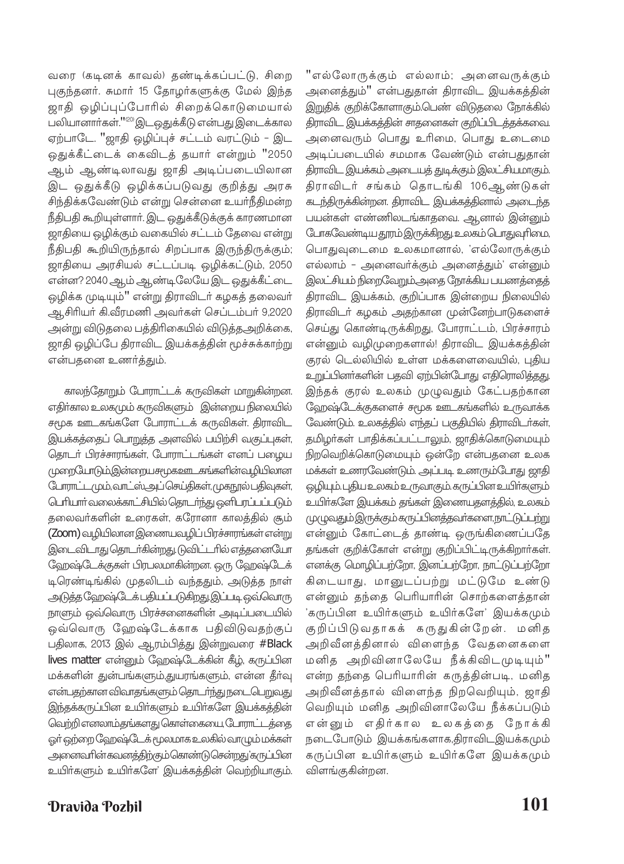வரை (கடினக் காவல்) தண்டிக்கப்பட்டு, சிறை புகுந்தனர். சுமார் 15 தோழர்களுக்கு மேல் இந்த ஜாதி ஒழிப்புப்போரில் சிறைக்கொடுமையால் பலியானார்கள்."<sup>'' ஜி</sup> இடஒதுக்கீடு என்பது இடைக்கால ஏற்பாடே. "ஜாதி ஒழிப்புச் சட்டம் வரட்டும் - இட ஒதுக்கீட்டைக் கைவிடத் தயார் என்றும் "2050 ஆம் ஆண்டிலாவது ஜாதி அடிப்படையிலான இட ஒதுக்கீடு ஒழிக்கப்படுவது குறித்து அரசு சிந்திக்கவேண்டும் என்று சென்னை உயர்நீதிமன்ற நீதிபதி கூறியுள்ளார். இட ஒதுக்கீடுக்குக் காரணமான ஜாதியை ஒழிக்கும் வகையில் சட்டம் தேவை என்று நீதிபதி கூறியிருந்தால் சிறப்பாக இருந்திருக்கும்; ஜாதியை அரசியல் சட்டப்படி ஒழிக்கட்டும், 2050 என்ன? 2040 ஆம் ஆண்டிலேயே இட ஒதுக்கீட்டை ஒழிக்க முடியும்" என்று திராவிடா் கழகத் தலைவா் ஆசிரியர் கி.வீரமணி அவர்கள் செப்டம்பர் 9,2020 அன்று விடுதலை பத்திரிகையில் விடுத்தஅறிக்கை, ஜாதி ஒழிப்பே திராவிட இயக்கத்தின் மூச்சுக்காற்று என்பதனை உணர்த்தும்.

காலந்தோறும் போராட்டக் கருவிகள் மாறுகின்றன. எதிர்கால உலகமும் கருவிகளும் இன்றைய நிலையில் சமூக ஊடகங்களே போராட்டக் கருவிகள். திராவிட இயக்கத்தைப் பொறுத்த அளவில் பயிற்சி வகுப்புகள், தொடர் பிரச்சாரங்கள், போராட்டங்கள் எனப் பழைய முறையோடும்,இன்றையசமுகஊடகங்களின்வழியிலான போராட்டமும்,வாட்ஸ்அப் செய்திகள், முகநூல் பதிவுகள், <u>பெரியார் வலைக்காட்சியில் தொடர்ந்து ஒளிபரப்பப்படும்</u> தலைவா்களின் உரைகள், கரோனா காலத்தில் சூம் (Zoom) வழியிலான இணையவழிப் பிரச்சாரங்கள் என்று இடைவிடாது தொடர்கின்றது. டுவிட்டரில் எத்தனையோ ஹேஷ்டேக்குகள் பிரபலமாகின்றன. ஒரு ஹேஷ்டேக் டிரெண்டிங்கில் முதலிடம் வந்ததும், அடுத்த நாள் அடுத்த ஹேஷ்டேக் பதியப்படுகிறது. இப்படி ஒவ்வொரு நாளும் ஒவ்வொரு பிரச்சனைகளின் அடிப்படையில் ஒவ்வொரு ஹேஷ்டேக்காக பதிவிடுவதற்குப் பதிலாக, 2013 இல் ஆரம்பித்து இன்றுவரை #Black lives matter என்னும் ஹேஷ்டேக்கின் கீழ், கருப்பின மக்களின் துன்பங்களும்,துயரங்களும், என்ன தீர்வு என்பதற்கான விவாதங்களும் தொடர்ந்து நடைபெறுவது இந்தக்கருப்பின உயிர்களும் உயிர்களே இயக்கத்தின் வெற்றி எனலாம்.தங்களது கொள்கையை, போராட்டத்தை ஒர் ஒற்றை வேறஷ்டேக் மூலமாக உலகில் வாழும் மக்கள் <u>அனைவரின்கவனத்திற்கும்கொண்டுசென்றது'கருப்பின</u> உயிர்களும் உயிர்களே' இயக்கத்தின் வெற்றியாகும்.

திராவிட இயக்கத்தின் சாதனைகள் குறிப்பிடத்தக்கவை. அனைவரும் பொது உரிமை, பொது உடைமை அடிப்படையில் சமமாக வேண்டும் என்பதுதான் திராவிட இயக்கம் அடையத் துடிக்கும் இலட்சியமாகும். திராவிடர் சங்கம் தொடங்கி 106ஆண்டுகள் கடந்திருக்கின்றன. திராவிட இயக்கத்தினால் அடைந்த பயன்கள் எண்ணிலடங்காதவை. ஆனால் இன்னும் <u>ோகவேண்டிய தூரம் இருக்கிறது. உலகம் பொதுவுரிமை,</u> பொதுவுடைமை உலகமானால், 'எல்லோருக்கும் எல்லாம் - அனைவா்க்கும் அனைத்தும்' என்னும் இலட்சியம் நிறைவேறும் அதை நோக்கிய பயணத்தைத் திராவிட இயக்கம், குறிப்பாக இன்றைய நிலையில் திராவிடா் கழகம் அதற்கான முன்னேற்பாடுகளைச் செய்து கொண்டிருக்கிறது, போராட்டம், பிரச்சாரம் என்னும் வழிமுறைகளால்! திராவிட இயக்கத்தின் குரல் டெல்லியில் உள்ள மக்களைவையில், புதிய உறுப்பினர்களின் பதவி ஏற்பின்போது எதிரொலித்தது. இந்தக் குரல் உலகம் முழுவதும் கேட்பதற்கான ஹேஷ்டேக்குகளைச் சமூக ஊடகங்களில் உருவாக்க வேண்டும். உலகத்தில் எந்தப் பகுதியில் திராவிடர்கள், தமிழர்கள் பாதிக்கப்பட்டாலும், ஜாதிக்கொடுமையும் நிறவெறிக்கொடுமையும் ஒன்றே என்பதனை உலக மக்கள் உணரவேண்டும். அப்படி உணரும்போது ஜாதி ஒழியும். புதிய உலகம் உருவாகும். கருப்பின உயிர்களும் உயிர்களே இயக்கம் தங்கள் இணையதளத்தில், உலகம் முழுவதும் இருக்கும் கருப்பினத்தவர்களை, நாட்டுப்பற்று என்னும் கோட்டைத் தாண்டி ஒருங்கிணைப்பதே தங்கள் குறிக்கோள் என்று குறிப்பிட்டிருக்கிறார்கள். எனக்கு மொழிப்பற்றோ, இனப்பற்றோ, நாட்டுப்பற்றோ கிடையாது, மானுடப்பற்று மட்டுமே உண்டு என்னும் தந்தை பெரியாரின் சொற்களைத்தான் 'கருப்பின உயிர்களும் உயிர்களே' இயக்கமும் குறிப்பிடுவதாகக் கருதுகின்றேன். மனித அறிவீனத்தினால் விளைந்த வேதனைகளை மனித அறிவினாலேயே நீக்கிவிடமுடியும்" என்ற தந்தை பெரியாரின் கருத்தின்படி, மனித அறிவீனத்தால் விளைந்த நிறவெறியும், ஜாதி வெறியும் மனித அறிவினாலேயே நீக்கப்படும் என்னும் எதிர்கால உலகத்தை நோக்கி நடைபோடும் இயக்கங்களாக,திராவிடஇயக்கமும் கருப்பின உயிர்களும் உயிர்களே இயக்கமும் விளங்குகின்றன.

"எல்லோருக்கும் எல்லாம்; அனைவருக்கும்

அனைத்தும்" என்பதுதான் திராவிட இயக்கத்தின்

இறுதிக் குறிக்கோளாகும்.பெண் விடுதலை நோக்கில்